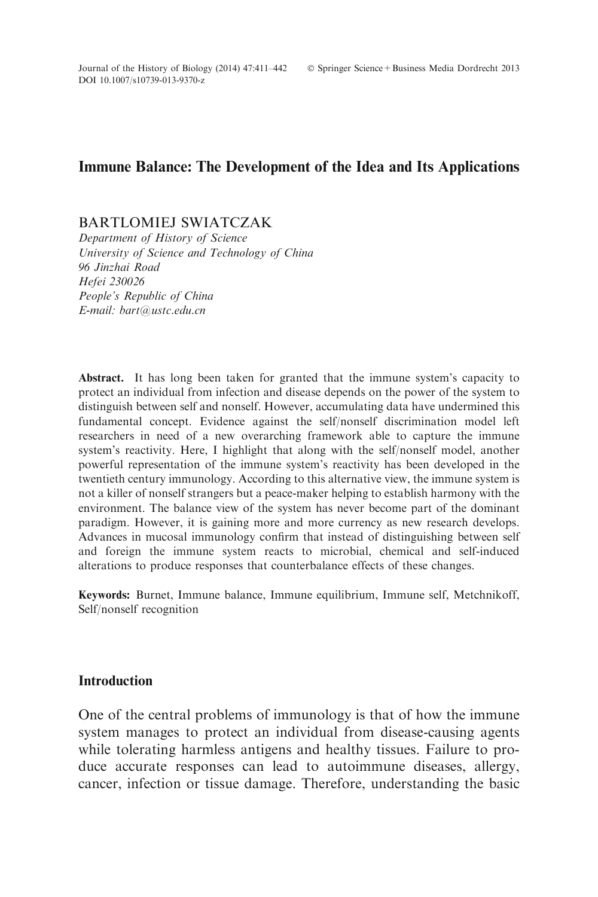# Immune Balance: The Development of the Idea and Its Applications

# BARTLOMIEJ SWIATCZAK

Department of History of Science University of Science and Technology of China 96 Jinzhai Road Hefei 230026 People's Republic of China E-mail: bart@ustc.edu.cn

Abstract. It has long been taken for granted that the immune system's capacity to protect an individual from infection and disease depends on the power of the system to distinguish between self and nonself. However, accumulating data have undermined this fundamental concept. Evidence against the self/nonself discrimination model left researchers in need of a new overarching framework able to capture the immune system's reactivity. Here, I highlight that along with the self/nonself model, another powerful representation of the immune system's reactivity has been developed in the twentieth century immunology. According to this alternative view, the immune system is not a killer of nonself strangers but a peace-maker helping to establish harmony with the environment. The balance view of the system has never become part of the dominant paradigm. However, it is gaining more and more currency as new research develops. Advances in mucosal immunology confirm that instead of distinguishing between self and foreign the immune system reacts to microbial, chemical and self-induced alterations to produce responses that counterbalance effects of these changes.

Keywords: Burnet, Immune balance, Immune equilibrium, Immune self, Metchnikoff, Self/nonself recognition

## **Introduction**

One of the central problems of immunology is that of how the immune system manages to protect an individual from disease-causing agents while tolerating harmless antigens and healthy tissues. Failure to produce accurate responses can lead to autoimmune diseases, allergy, cancer, infection or tissue damage. Therefore, understanding the basic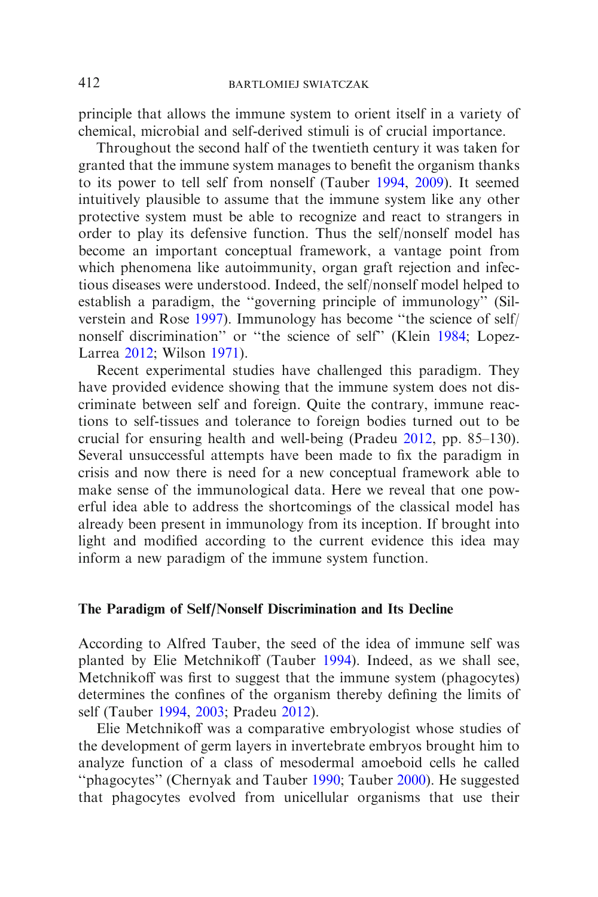principle that allows the immune system to orient itself in a variety of chemical, microbial and self-derived stimuli is of crucial importance.

Throughout the second half of the twentieth century it was taken for granted that the immune system manages to benefit the organism thanks to its power to tell self from nonself (Tauber [1994](#page-31-0), [2009\)](#page-31-0). It seemed intuitively plausible to assume that the immune system like any other protective system must be able to recognize and react to strangers in order to play its defensive function. Thus the self/nonself model has become an important conceptual framework, a vantage point from which phenomena like autoimmunity, organ graft rejection and infectious diseases were understood. Indeed, the self/nonself model helped to establish a paradigm, the ''governing principle of immunology'' (Silverstein and Rose [1997](#page-30-0)). Immunology has become ''the science of self/ nonself discrimination'' or ''the science of self'' (Klein [1984](#page-28-0); Lopez-Larrea [2012](#page-28-0); Wilson [1971\)](#page-31-0).

Recent experimental studies have challenged this paradigm. They have provided evidence showing that the immune system does not discriminate between self and foreign. Quite the contrary, immune reactions to self-tissues and tolerance to foreign bodies turned out to be crucial for ensuring health and well-being (Pradeu [2012,](#page-30-0) pp. 85–130). Several unsuccessful attempts have been made to fix the paradigm in crisis and now there is need for a new conceptual framework able to make sense of the immunological data. Here we reveal that one powerful idea able to address the shortcomings of the classical model has already been present in immunology from its inception. If brought into light and modified according to the current evidence this idea may inform a new paradigm of the immune system function.

#### The Paradigm of Self/Nonself Discrimination and Its Decline

According to Alfred Tauber, the seed of the idea of immune self was planted by Elie Metchnikoff (Tauber [1994\)](#page-31-0). Indeed, as we shall see, Metchnikoff was first to suggest that the immune system (phagocytes) determines the confines of the organism thereby defining the limits of self (Tauber [1994,](#page-31-0) [2003](#page-31-0); Pradeu [2012\)](#page-30-0).

Elie Metchnikoff was a comparative embryologist whose studies of the development of germ layers in invertebrate embryos brought him to analyze function of a class of mesodermal amoeboid cells he called ''phagocytes'' (Chernyak and Tauber [1990](#page-26-0); Tauber [2000\)](#page-31-0). He suggested that phagocytes evolved from unicellular organisms that use their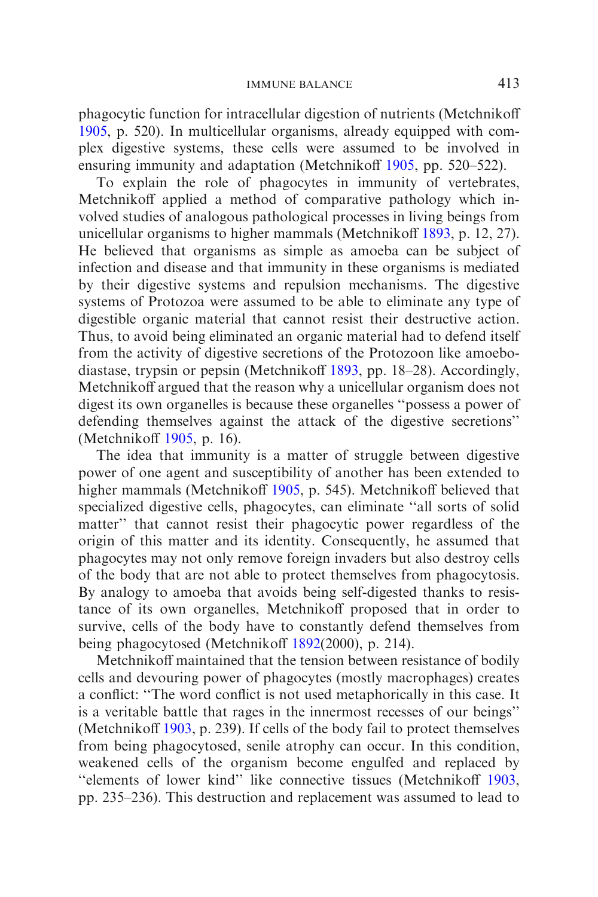phagocytic function for intracellular digestion of nutrients (Metchnikoff [1905](#page-29-0), p. 520). In multicellular organisms, already equipped with complex digestive systems, these cells were assumed to be involved in ensuring immunity and adaptation (Metchnikoff [1905](#page-29-0), pp. 520–522).

To explain the role of phagocytes in immunity of vertebrates, Metchnikoff applied a method of comparative pathology which involved studies of analogous pathological processes in living beings from unicellular organisms to higher mammals (Metchnikoff [1893,](#page-29-0) p. 12, 27). He believed that organisms as simple as amoeba can be subject of infection and disease and that immunity in these organisms is mediated by their digestive systems and repulsion mechanisms. The digestive systems of Protozoa were assumed to be able to eliminate any type of digestible organic material that cannot resist their destructive action. Thus, to avoid being eliminated an organic material had to defend itself from the activity of digestive secretions of the Protozoon like amoebodiastase, trypsin or pepsin (Metchnikoff [1893](#page-29-0), pp. 18–28). Accordingly, Metchnikoff argued that the reason why a unicellular organism does not digest its own organelles is because these organelles ''possess a power of defending themselves against the attack of the digestive secretions'' (Metchnikoff [1905](#page-29-0), p. 16).

The idea that immunity is a matter of struggle between digestive power of one agent and susceptibility of another has been extended to higher mammals (Metchnikoff [1905,](#page-29-0) p. 545). Metchnikoff believed that specialized digestive cells, phagocytes, can eliminate ''all sorts of solid matter'' that cannot resist their phagocytic power regardless of the origin of this matter and its identity. Consequently, he assumed that phagocytes may not only remove foreign invaders but also destroy cells of the body that are not able to protect themselves from phagocytosis. By analogy to amoeba that avoids being self-digested thanks to resistance of its own organelles, Metchnikoff proposed that in order to survive, cells of the body have to constantly defend themselves from being phagocytosed (Metchnikoff [1892](#page-29-0)(2000), p. 214).

Metchnikoff maintained that the tension between resistance of bodily cells and devouring power of phagocytes (mostly macrophages) creates a conflict: ''The word conflict is not used metaphorically in this case. It is a veritable battle that rages in the innermost recesses of our beings'' (Metchnikoff [1903,](#page-29-0) p. 239). If cells of the body fail to protect themselves from being phagocytosed, senile atrophy can occur. In this condition, weakened cells of the organism become engulfed and replaced by "elements of lower kind" like connective tissues (Metchnikoff [1903](#page-29-0), pp. 235–236). This destruction and replacement was assumed to lead to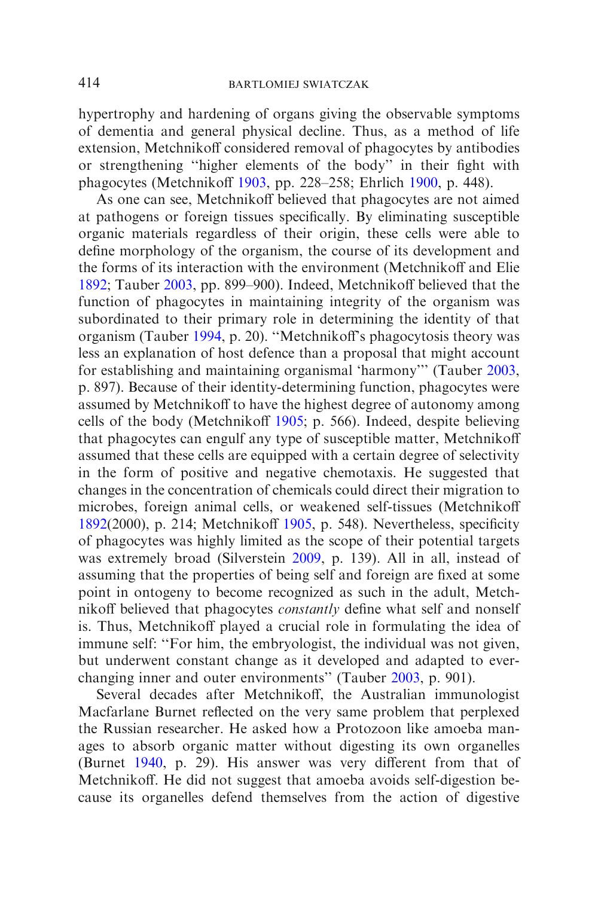hypertrophy and hardening of organs giving the observable symptoms of dementia and general physical decline. Thus, as a method of life extension, Metchnikoff considered removal of phagocytes by antibodies or strengthening ''higher elements of the body'' in their fight with phagocytes (Metchnikoff [1903](#page-29-0), pp. 228–258; Ehrlich [1900](#page-27-0), p. 448).

As one can see, Metchnikoff believed that phagocytes are not aimed at pathogens or foreign tissues specifically. By eliminating susceptible organic materials regardless of their origin, these cells were able to define morphology of the organism, the course of its development and the forms of its interaction with the environment (Metchnikoff and Elie [1892](#page-29-0); Tauber [2003](#page-31-0), pp. 899–900). Indeed, Metchnikoff believed that the function of phagocytes in maintaining integrity of the organism was subordinated to their primary role in determining the identity of that organism (Tauber [1994](#page-31-0), p. 20). ''Metchnikoff's phagocytosis theory was less an explanation of host defence than a proposal that might account for establishing and maintaining organismal 'harmony''' (Tauber [2003](#page-31-0), p. 897). Because of their identity-determining function, phagocytes were assumed by Metchnikoff to have the highest degree of autonomy among cells of the body (Metchnikoff [1905](#page-29-0); p. 566). Indeed, despite believing that phagocytes can engulf any type of susceptible matter, Metchnikoff assumed that these cells are equipped with a certain degree of selectivity in the form of positive and negative chemotaxis. He suggested that changes in the concentration of chemicals could direct their migration to microbes, foreign animal cells, or weakened self-tissues (Metchnikoff [1892](#page-29-0)(2000), p. 214; Metchnikoff [1905,](#page-29-0) p. 548). Nevertheless, specificity of phagocytes was highly limited as the scope of their potential targets was extremely broad (Silverstein [2009,](#page-30-0) p. 139). All in all, instead of assuming that the properties of being self and foreign are fixed at some point in ontogeny to become recognized as such in the adult, Metchnikoff believed that phagocytes constantly define what self and nonself is. Thus, Metchnikoff played a crucial role in formulating the idea of immune self: ''For him, the embryologist, the individual was not given, but underwent constant change as it developed and adapted to everchanging inner and outer environments'' (Tauber [2003,](#page-31-0) p. 901).

Several decades after Metchnikoff, the Australian immunologist Macfarlane Burnet reflected on the very same problem that perplexed the Russian researcher. He asked how a Protozoon like amoeba manages to absorb organic matter without digesting its own organelles (Burnet [1940](#page-25-0), p. 29). His answer was very different from that of Metchnikoff. He did not suggest that amoeba avoids self-digestion because its organelles defend themselves from the action of digestive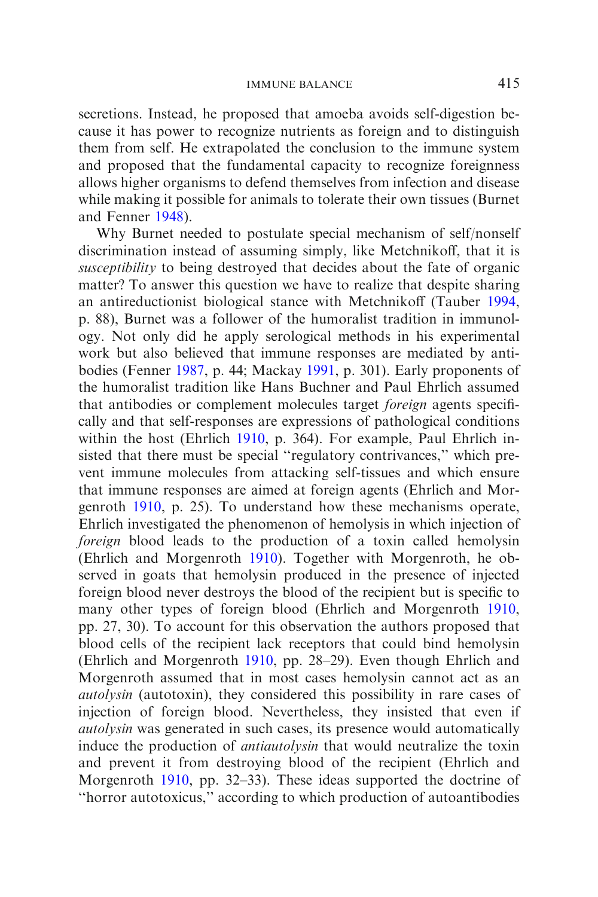secretions. Instead, he proposed that amoeba avoids self-digestion because it has power to recognize nutrients as foreign and to distinguish them from self. He extrapolated the conclusion to the immune system and proposed that the fundamental capacity to recognize foreignness allows higher organisms to defend themselves from infection and disease while making it possible for animals to tolerate their own tissues (Burnet and Fenner [1948](#page-26-0)).

Why Burnet needed to postulate special mechanism of self/nonself discrimination instead of assuming simply, like Metchnikoff, that it is susceptibility to being destroyed that decides about the fate of organic matter? To answer this question we have to realize that despite sharing an antireductionist biological stance with Metchnikoff (Tauber [1994](#page-31-0), p. 88), Burnet was a follower of the humoralist tradition in immunology. Not only did he apply serological methods in his experimental work but also believed that immune responses are mediated by antibodies (Fenner [1987,](#page-27-0) p. 44; Mackay [1991](#page-28-0), p. 301). Early proponents of the humoralist tradition like Hans Buchner and Paul Ehrlich assumed that antibodies or complement molecules target foreign agents specifically and that self-responses are expressions of pathological conditions within the host (Ehrlich [1910,](#page-27-0) p. 364). For example, Paul Ehrlich insisted that there must be special ''regulatory contrivances,'' which prevent immune molecules from attacking self-tissues and which ensure that immune responses are aimed at foreign agents (Ehrlich and Morgenroth [1910](#page-27-0), p. 25). To understand how these mechanisms operate, Ehrlich investigated the phenomenon of hemolysis in which injection of foreign blood leads to the production of a toxin called hemolysin (Ehrlich and Morgenroth [1910\)](#page-27-0). Together with Morgenroth, he observed in goats that hemolysin produced in the presence of injected foreign blood never destroys the blood of the recipient but is specific to many other types of foreign blood (Ehrlich and Morgenroth [1910](#page-27-0), pp. 27, 30). To account for this observation the authors proposed that blood cells of the recipient lack receptors that could bind hemolysin (Ehrlich and Morgenroth [1910](#page-27-0), pp. 28–29). Even though Ehrlich and Morgenroth assumed that in most cases hemolysin cannot act as an autolysin (autotoxin), they considered this possibility in rare cases of injection of foreign blood. Nevertheless, they insisted that even if autolysin was generated in such cases, its presence would automatically induce the production of antiautolysin that would neutralize the toxin and prevent it from destroying blood of the recipient (Ehrlich and Morgenroth [1910](#page-27-0), pp. 32–33). These ideas supported the doctrine of ''horror autotoxicus,'' according to which production of autoantibodies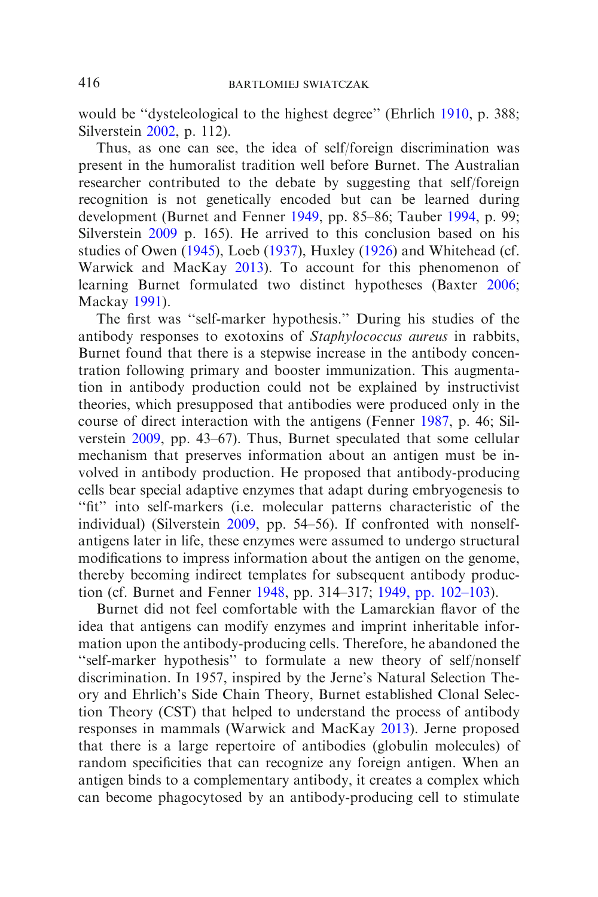would be ''dysteleological to the highest degree'' (Ehrlich [1910,](#page-27-0) p. 388; Silverstein [2002](#page-30-0), p. 112).

Thus, as one can see, the idea of self/foreign discrimination was present in the humoralist tradition well before Burnet. The Australian researcher contributed to the debate by suggesting that self/foreign recognition is not genetically encoded but can be learned during development (Burnet and Fenner [1949](#page-26-0), pp. 85–86; Tauber [1994,](#page-31-0) p. 99; Silverstein [2009](#page-30-0) p. 165). He arrived to this conclusion based on his studies of Owen [\(1945](#page-29-0)), Loeb ([1937\)](#page-28-0), Huxley ([1926\)](#page-27-0) and Whitehead (cf. Warwick and MacKay [2013](#page-25-0)). To account for this phenomenon of learning Burnet formulated two distinct hypotheses (Baxter [2006](#page-25-0); Mackay [1991](#page-28-0)).

The first was ''self-marker hypothesis.'' During his studies of the antibody responses to exotoxins of Staphylococcus aureus in rabbits, Burnet found that there is a stepwise increase in the antibody concentration following primary and booster immunization. This augmentation in antibody production could not be explained by instructivist theories, which presupposed that antibodies were produced only in the course of direct interaction with the antigens (Fenner [1987,](#page-27-0) p. 46; Silverstein [2009,](#page-30-0) pp. 43–67). Thus, Burnet speculated that some cellular mechanism that preserves information about an antigen must be involved in antibody production. He proposed that antibody-producing cells bear special adaptive enzymes that adapt during embryogenesis to "fit" into self-markers (i.e. molecular patterns characteristic of the individual) (Silverstein [2009,](#page-30-0) pp. 54–56). If confronted with nonselfantigens later in life, these enzymes were assumed to undergo structural modifications to impress information about the antigen on the genome, thereby becoming indirect templates for subsequent antibody production (cf. Burnet and Fenner [1948](#page-26-0), pp. 314–317; [1949, pp. 102–103\)](#page-26-0).

Burnet did not feel comfortable with the Lamarckian flavor of the idea that antigens can modify enzymes and imprint inheritable information upon the antibody-producing cells. Therefore, he abandoned the ''self-marker hypothesis'' to formulate a new theory of self/nonself discrimination. In 1957, inspired by the Jerne's Natural Selection Theory and Ehrlich's Side Chain Theory, Burnet established Clonal Selection Theory (CST) that helped to understand the process of antibody responses in mammals (Warwick and MacKay [2013\)](#page-25-0). Jerne proposed that there is a large repertoire of antibodies (globulin molecules) of random specificities that can recognize any foreign antigen. When an antigen binds to a complementary antibody, it creates a complex which can become phagocytosed by an antibody-producing cell to stimulate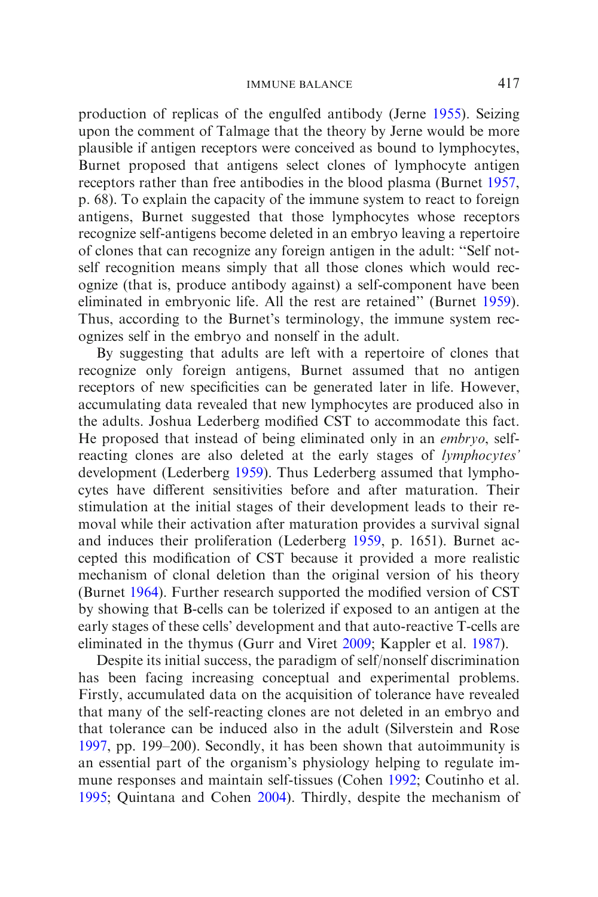production of replicas of the engulfed antibody (Jerne [1955\)](#page-28-0). Seizing upon the comment of Talmage that the theory by Jerne would be more plausible if antigen receptors were conceived as bound to lymphocytes, Burnet proposed that antigens select clones of lymphocyte antigen receptors rather than free antibodies in the blood plasma (Burnet [1957](#page-26-0), p. 68). To explain the capacity of the immune system to react to foreign antigens, Burnet suggested that those lymphocytes whose receptors recognize self-antigens become deleted in an embryo leaving a repertoire of clones that can recognize any foreign antigen in the adult: ''Self notself recognition means simply that all those clones which would recognize (that is, produce antibody against) a self-component have been eliminated in embryonic life. All the rest are retained'' (Burnet [1959\)](#page-26-0). Thus, according to the Burnet's terminology, the immune system recognizes self in the embryo and nonself in the adult.

By suggesting that adults are left with a repertoire of clones that recognize only foreign antigens, Burnet assumed that no antigen receptors of new specificities can be generated later in life. However, accumulating data revealed that new lymphocytes are produced also in the adults. Joshua Lederberg modified CST to accommodate this fact. He proposed that instead of being eliminated only in an embryo, selfreacting clones are also deleted at the early stages of lymphocytes' development (Lederberg [1959\)](#page-28-0). Thus Lederberg assumed that lymphocytes have different sensitivities before and after maturation. Their stimulation at the initial stages of their development leads to their removal while their activation after maturation provides a survival signal and induces their proliferation (Lederberg [1959](#page-28-0), p. 1651). Burnet accepted this modification of CST because it provided a more realistic mechanism of clonal deletion than the original version of his theory (Burnet [1964](#page-26-0)). Further research supported the modified version of CST by showing that B-cells can be tolerized if exposed to an antigen at the early stages of these cells' development and that auto-reactive T-cells are eliminated in the thymus (Gurr and Viret [2009;](#page-27-0) Kappler et al. [1987](#page-28-0)).

Despite its initial success, the paradigm of self/nonself discrimination has been facing increasing conceptual and experimental problems. Firstly, accumulated data on the acquisition of tolerance have revealed that many of the self-reacting clones are not deleted in an embryo and that tolerance can be induced also in the adult (Silverstein and Rose [1997](#page-30-0), pp. 199–200). Secondly, it has been shown that autoimmunity is an essential part of the organism's physiology helping to regulate immune responses and maintain self-tissues (Cohen [1992](#page-26-0); Coutinho et al. [1995](#page-26-0); Quintana and Cohen [2004](#page-30-0)). Thirdly, despite the mechanism of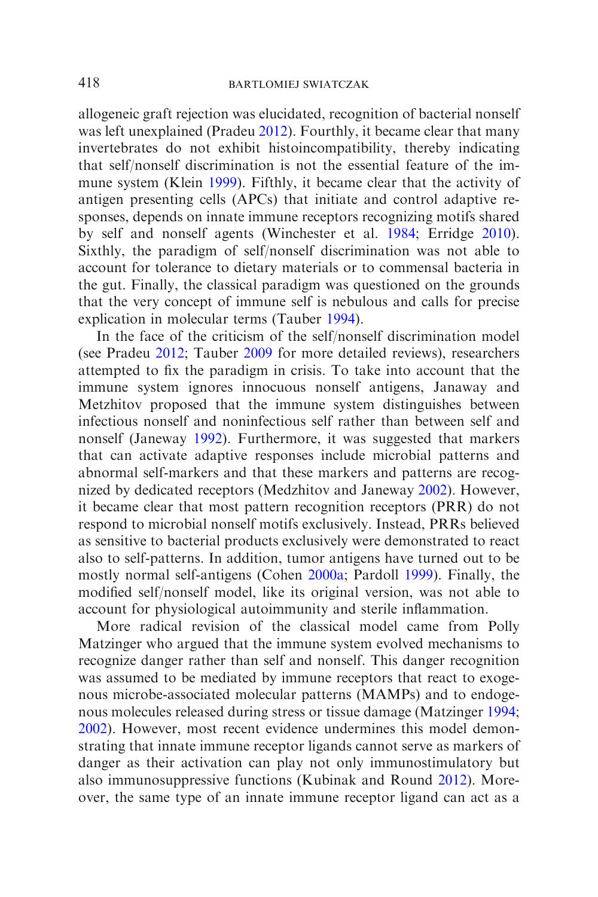allogeneic graft rejection was elucidated, recognition of bacterial nonself was left unexplained (Pradeu [2012](#page-30-0)). Fourthly, it became clear that many invertebrates do not exhibit histoincompatibility, thereby indicating that self/nonself discrimination is not the essential feature of the immune system (Klein [1999\)](#page-28-0). Fifthly, it became clear that the activity of antigen presenting cells (APCs) that initiate and control adaptive responses, depends on innate immune receptors recognizing motifs shared by self and nonself agents (Winchester et al. [1984](#page-31-0); Erridge [2010\)](#page-27-0). Sixthly, the paradigm of self/nonself discrimination was not able to account for tolerance to dietary materials or to commensal bacteria in the gut. Finally, the classical paradigm was questioned on the grounds that the very concept of immune self is nebulous and calls for precise explication in molecular terms (Tauber [1994](#page-31-0)).

In the face of the criticism of the self/nonself discrimination model (see Pradeu [2012;](#page-30-0) Tauber [2009](#page-31-0) for more detailed reviews), researchers attempted to fix the paradigm in crisis. To take into account that the immune system ignores innocuous nonself antigens, Janaway and Metzhitov proposed that the immune system distinguishes between infectious nonself and noninfectious self rather than between self and nonself (Janeway [1992\)](#page-28-0). Furthermore, it was suggested that markers that can activate adaptive responses include microbial patterns and abnormal self-markers and that these markers and patterns are recognized by dedicated receptors (Medzhitov and Janeway [2002](#page-29-0)). However, it became clear that most pattern recognition receptors (PRR) do not respond to microbial nonself motifs exclusively. Instead, PRRs believed as sensitive to bacterial products exclusively were demonstrated to react also to self-patterns. In addition, tumor antigens have turned out to be mostly normal self-antigens (Cohen [2000a;](#page-26-0) Pardoll [1999\)](#page-29-0). Finally, the modified self/nonself model, like its original version, was not able to account for physiological autoimmunity and sterile inflammation.

More radical revision of the classical model came from Polly Matzinger who argued that the immune system evolved mechanisms to recognize danger rather than self and nonself. This danger recognition was assumed to be mediated by immune receptors that react to exogenous microbe-associated molecular patterns (MAMPs) and to endogenous molecules released during stress or tissue damage (Matzinger [1994](#page-29-0); [2002](#page-29-0)). However, most recent evidence undermines this model demonstrating that innate immune receptor ligands cannot serve as markers of danger as their activation can play not only immunostimulatory but also immunosuppressive functions (Kubinak and Round [2012](#page-28-0)). Moreover, the same type of an innate immune receptor ligand can act as a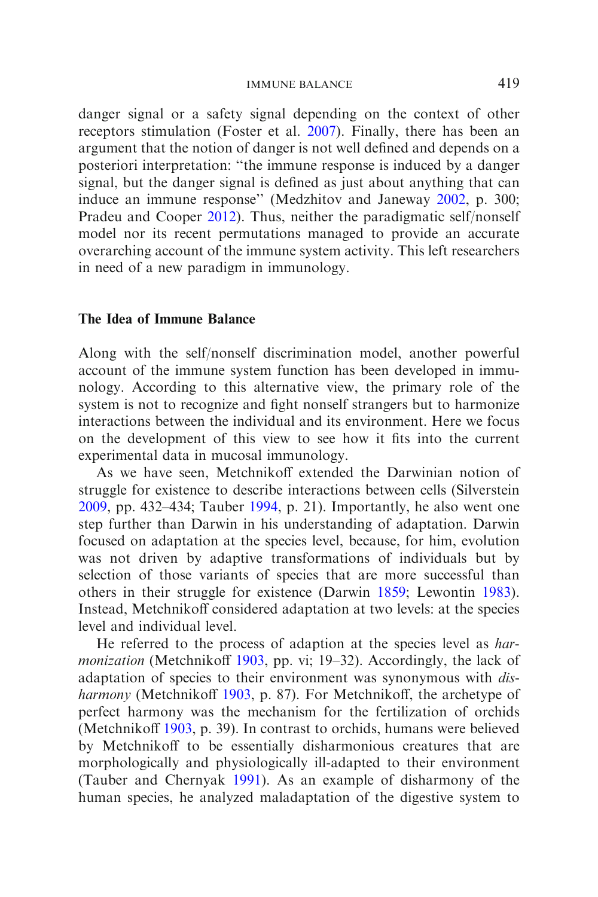#### IMMUNE BALANCE 419

danger signal or a safety signal depending on the context of other receptors stimulation (Foster et al. [2007\)](#page-27-0). Finally, there has been an argument that the notion of danger is not well defined and depends on a posteriori interpretation: ''the immune response is induced by a danger signal, but the danger signal is defined as just about anything that can induce an immune response'' (Medzhitov and Janeway [2002](#page-29-0), p. 300; Pradeu and Cooper [2012](#page-30-0)). Thus, neither the paradigmatic self/nonself model nor its recent permutations managed to provide an accurate overarching account of the immune system activity. This left researchers in need of a new paradigm in immunology.

#### The Idea of Immune Balance

Along with the self/nonself discrimination model, another powerful account of the immune system function has been developed in immunology. According to this alternative view, the primary role of the system is not to recognize and fight nonself strangers but to harmonize interactions between the individual and its environment. Here we focus on the development of this view to see how it fits into the current experimental data in mucosal immunology.

As we have seen, Metchnikoff extended the Darwinian notion of struggle for existence to describe interactions between cells (Silverstein [2009](#page-30-0), pp. 432–434; Tauber [1994,](#page-31-0) p. 21). Importantly, he also went one step further than Darwin in his understanding of adaptation. Darwin focused on adaptation at the species level, because, for him, evolution was not driven by adaptive transformations of individuals but by selection of those variants of species that are more successful than others in their struggle for existence (Darwin [1859;](#page-26-0) Lewontin [1983\)](#page-28-0). Instead, Metchnikoff considered adaptation at two levels: at the species level and individual level.

He referred to the process of adaption at the species level as har-monization (Metchnikoff [1903,](#page-29-0) pp. vi; 19–32). Accordingly, the lack of adaptation of species to their environment was synonymous with *dis-*harmony (Metchnikoff [1903](#page-29-0), p. 87). For Metchnikoff, the archetype of perfect harmony was the mechanism for the fertilization of orchids (Metchnikoff [1903,](#page-29-0) p. 39). In contrast to orchids, humans were believed by Metchnikoff to be essentially disharmonious creatures that are morphologically and physiologically ill-adapted to their environment (Tauber and Chernyak [1991](#page-31-0)). As an example of disharmony of the human species, he analyzed maladaptation of the digestive system to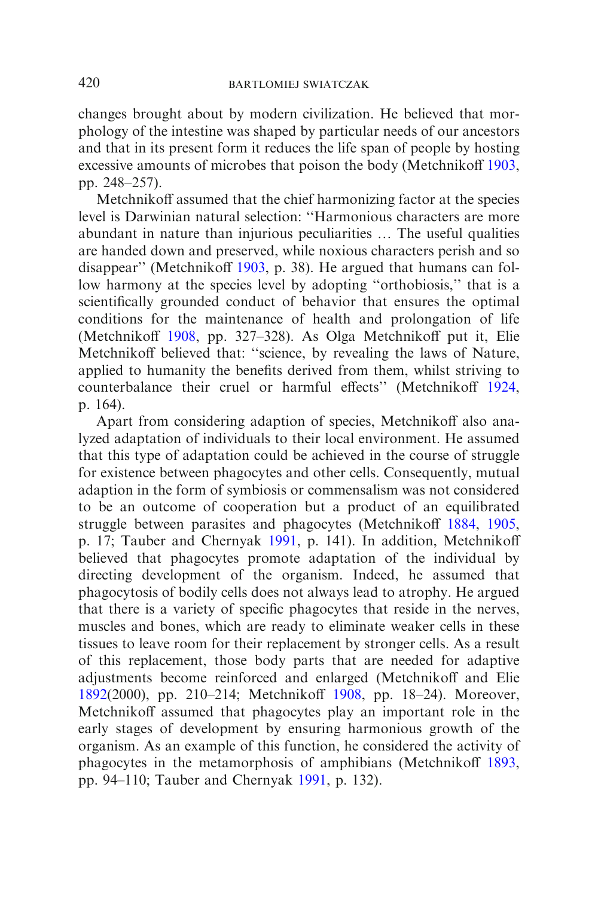changes brought about by modern civilization. He believed that morphology of the intestine was shaped by particular needs of our ancestors and that in its present form it reduces the life span of people by hosting excessive amounts of microbes that poison the body (Metchnikoff [1903](#page-29-0), pp. 248–257).

Metchnikoff assumed that the chief harmonizing factor at the species level is Darwinian natural selection: ''Harmonious characters are more abundant in nature than injurious peculiarities … The useful qualities are handed down and preserved, while noxious characters perish and so disappear'' (Metchnikoff [1903](#page-29-0), p. 38). He argued that humans can follow harmony at the species level by adopting ''orthobiosis,'' that is a scientifically grounded conduct of behavior that ensures the optimal conditions for the maintenance of health and prolongation of life (Metchnikoff [1908,](#page-29-0) pp. 327–328). As Olga Metchnikoff put it, Elie Metchnikoff believed that: ''science, by revealing the laws of Nature, applied to humanity the benefits derived from them, whilst striving to counterbalance their cruel or harmful effects'' (Metchnikoff [1924](#page-29-0), p. 164).

Apart from considering adaption of species, Metchnikoff also analyzed adaptation of individuals to their local environment. He assumed that this type of adaptation could be achieved in the course of struggle for existence between phagocytes and other cells. Consequently, mutual adaption in the form of symbiosis or commensalism was not considered to be an outcome of cooperation but a product of an equilibrated struggle between parasites and phagocytes (Metchnikoff [1884,](#page-29-0) [1905](#page-29-0), p. 17; Tauber and Chernyak [1991](#page-31-0), p. 141). In addition, Metchnikoff believed that phagocytes promote adaptation of the individual by directing development of the organism. Indeed, he assumed that phagocytosis of bodily cells does not always lead to atrophy. He argued that there is a variety of specific phagocytes that reside in the nerves, muscles and bones, which are ready to eliminate weaker cells in these tissues to leave room for their replacement by stronger cells. As a result of this replacement, those body parts that are needed for adaptive adjustments become reinforced and enlarged (Metchnikoff and Elie [1892](#page-29-0)(2000), pp. 210–214; Metchnikoff [1908](#page-29-0), pp. 18–24). Moreover, Metchnikoff assumed that phagocytes play an important role in the early stages of development by ensuring harmonious growth of the organism. As an example of this function, he considered the activity of phagocytes in the metamorphosis of amphibians (Metchnikoff [1893](#page-29-0), pp. 94–110; Tauber and Chernyak [1991,](#page-31-0) p. 132).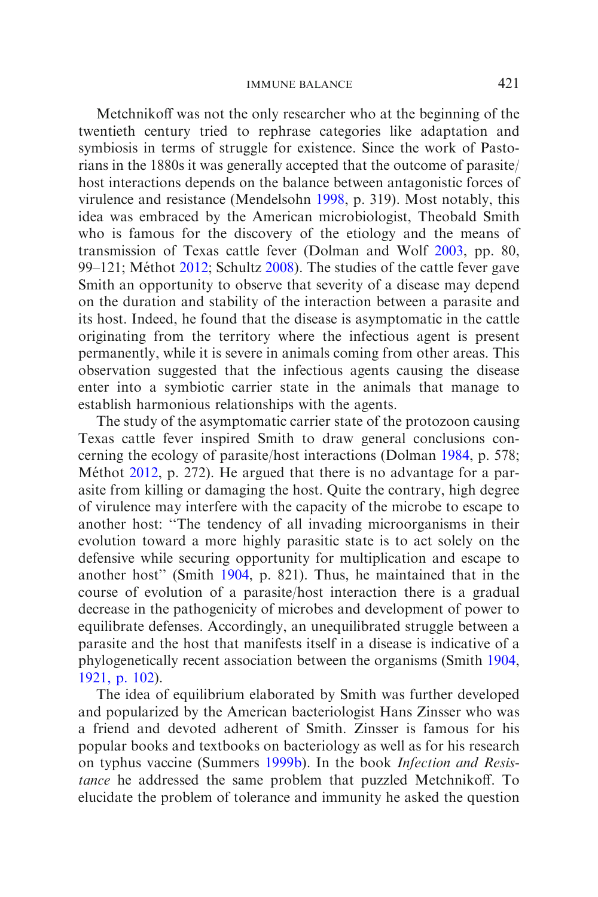Metchnikoff was not the only researcher who at the beginning of the twentieth century tried to rephrase categories like adaptation and symbiosis in terms of struggle for existence. Since the work of Pastorians in the 1880s it was generally accepted that the outcome of parasite/ host interactions depends on the balance between antagonistic forces of virulence and resistance (Mendelsohn [1998](#page-29-0), p. 319). Most notably, this idea was embraced by the American microbiologist, Theobald Smith who is famous for the discovery of the etiology and the means of transmission of Texas cattle fever (Dolman and Wolf [2003](#page-27-0), pp. 80, 99–121; Méthot [2012](#page-29-0); Schultz [2008](#page-30-0)). The studies of the cattle fever gave Smith an opportunity to observe that severity of a disease may depend on the duration and stability of the interaction between a parasite and its host. Indeed, he found that the disease is asymptomatic in the cattle originating from the territory where the infectious agent is present permanently, while it is severe in animals coming from other areas. This observation suggested that the infectious agents causing the disease enter into a symbiotic carrier state in the animals that manage to establish harmonious relationships with the agents.

The study of the asymptomatic carrier state of the protozoon causing Texas cattle fever inspired Smith to draw general conclusions concerning the ecology of parasite/host interactions (Dolman [1984](#page-27-0), p. 578; Méthot [2012](#page-29-0), p. 272). He argued that there is no advantage for a parasite from killing or damaging the host. Quite the contrary, high degree of virulence may interfere with the capacity of the microbe to escape to another host: ''The tendency of all invading microorganisms in their evolution toward a more highly parasitic state is to act solely on the defensive while securing opportunity for multiplication and escape to another host'' (Smith [1904](#page-30-0), p. 821). Thus, he maintained that in the course of evolution of a parasite/host interaction there is a gradual decrease in the pathogenicity of microbes and development of power to equilibrate defenses. Accordingly, an unequilibrated struggle between a parasite and the host that manifests itself in a disease is indicative of a phylogenetically recent association between the organisms (Smith [1904](#page-30-0), [1921, p. 102\)](#page-30-0).

The idea of equilibrium elaborated by Smith was further developed and popularized by the American bacteriologist Hans Zinsser who was a friend and devoted adherent of Smith. Zinsser is famous for his popular books and textbooks on bacteriology as well as for his research on typhus vaccine (Summers [1999b\)](#page-31-0). In the book Infection and Resistance he addressed the same problem that puzzled Metchnikoff. To elucidate the problem of tolerance and immunity he asked the question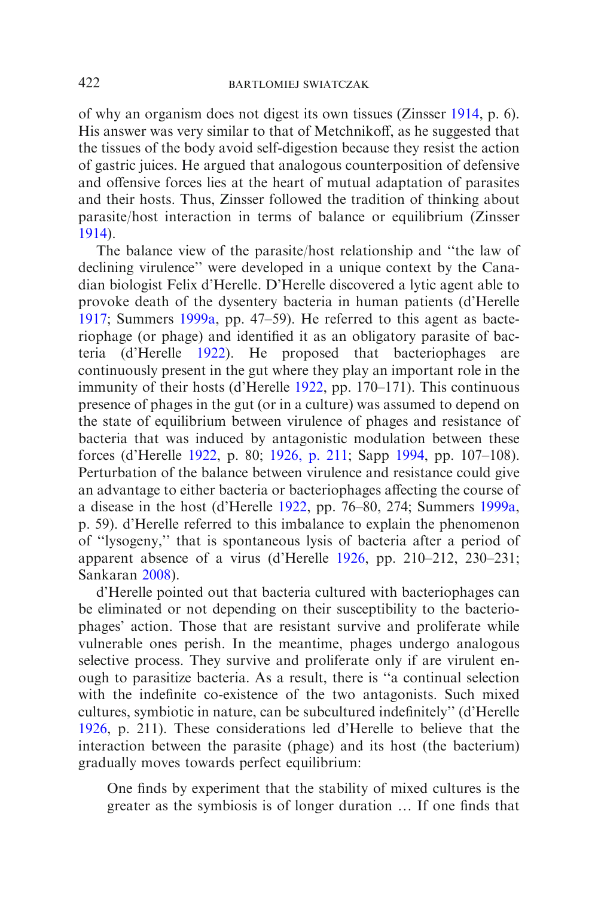of why an organism does not digest its own tissues (Zinsser [1914,](#page-31-0) p. 6). His answer was very similar to that of Metchnikoff, as he suggested that the tissues of the body avoid self-digestion because they resist the action of gastric juices. He argued that analogous counterposition of defensive and offensive forces lies at the heart of mutual adaptation of parasites and their hosts. Thus, Zinsser followed the tradition of thinking about parasite/host interaction in terms of balance or equilibrium (Zinsser [1914](#page-31-0)).

The balance view of the parasite/host relationship and ''the law of declining virulence'' were developed in a unique context by the Canadian biologist Felix d'Herelle. D'Herelle discovered a lytic agent able to provoke death of the dysentery bacteria in human patients (d'Herelle [1917](#page-26-0); Summers [1999a](#page-30-0), pp. 47–59). He referred to this agent as bacteriophage (or phage) and identified it as an obligatory parasite of bacteria (d'Herelle [1922\)](#page-26-0). He proposed that bacteriophages are continuously present in the gut where they play an important role in the immunity of their hosts (d'Herelle [1922](#page-26-0), pp. 170–171). This continuous presence of phages in the gut (or in a culture) was assumed to depend on the state of equilibrium between virulence of phages and resistance of bacteria that was induced by antagonistic modulation between these forces (d'Herelle [1922,](#page-26-0) p. 80; [1926, p. 211](#page-26-0); Sapp [1994,](#page-30-0) pp. 107–108). Perturbation of the balance between virulence and resistance could give an advantage to either bacteria or bacteriophages affecting the course of a disease in the host (d'Herelle [1922,](#page-26-0) pp. 76–80, 274; Summers [1999a](#page-30-0), p. 59). d'Herelle referred to this imbalance to explain the phenomenon of ''lysogeny,'' that is spontaneous lysis of bacteria after a period of apparent absence of a virus (d'Herelle [1926,](#page-26-0) pp. 210–212, 230–231; Sankaran [2008\)](#page-30-0).

d'Herelle pointed out that bacteria cultured with bacteriophages can be eliminated or not depending on their susceptibility to the bacteriophages' action. Those that are resistant survive and proliferate while vulnerable ones perish. In the meantime, phages undergo analogous selective process. They survive and proliferate only if are virulent enough to parasitize bacteria. As a result, there is ''a continual selection with the indefinite co-existence of the two antagonists. Such mixed cultures, symbiotic in nature, can be subcultured indefinitely'' (d'Herelle [1926](#page-26-0), p. 211). These considerations led d'Herelle to believe that the interaction between the parasite (phage) and its host (the bacterium) gradually moves towards perfect equilibrium:

One finds by experiment that the stability of mixed cultures is the greater as the symbiosis is of longer duration … If one finds that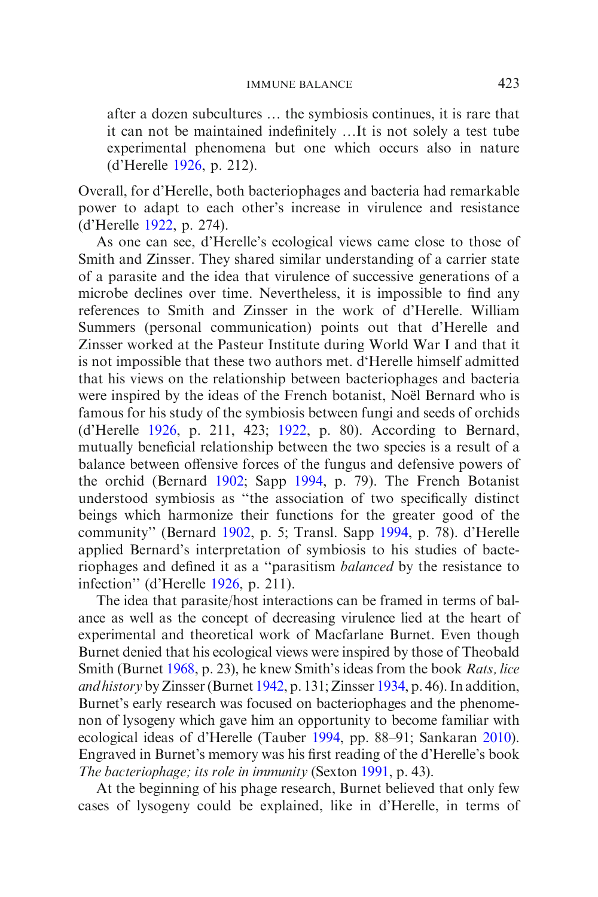after a dozen subcultures … the symbiosis continues, it is rare that it can not be maintained indefinitely …It is not solely a test tube experimental phenomena but one which occurs also in nature (d'Herelle [1926](#page-26-0), p. 212).

Overall, for d'Herelle, both bacteriophages and bacteria had remarkable power to adapt to each other's increase in virulence and resistance (d'Herelle [1922](#page-26-0), p. 274).

As one can see, d'Herelle's ecological views came close to those of Smith and Zinsser. They shared similar understanding of a carrier state of a parasite and the idea that virulence of successive generations of a microbe declines over time. Nevertheless, it is impossible to find any references to Smith and Zinsser in the work of d'Herelle. William Summers (personal communication) points out that d'Herelle and Zinsser worked at the Pasteur Institute during World War I and that it is not impossible that these two authors met. d'Herelle himself admitted that his views on the relationship between bacteriophages and bacteria were inspired by the ideas of the French botanist, Noël Bernard who is famous for his study of the symbiosis between fungi and seeds of orchids (d'Herelle [1926,](#page-26-0) p. 211, 423; [1922,](#page-26-0) p. 80). According to Bernard, mutually beneficial relationship between the two species is a result of a balance between offensive forces of the fungus and defensive powers of the orchid (Bernard [1902;](#page-25-0) Sapp [1994](#page-30-0), p. 79). The French Botanist understood symbiosis as ''the association of two specifically distinct beings which harmonize their functions for the greater good of the community'' (Bernard [1902](#page-25-0), p. 5; Transl. Sapp [1994,](#page-30-0) p. 78). d'Herelle applied Bernard's interpretation of symbiosis to his studies of bacteriophages and defined it as a ''parasitism balanced by the resistance to infection'' (d'Herelle [1926,](#page-26-0) p. 211).

The idea that parasite/host interactions can be framed in terms of balance as well as the concept of decreasing virulence lied at the heart of experimental and theoretical work of Macfarlane Burnet. Even though Burnet denied that his ecological views were inspired by those of Theobald Smith (Burnet [1968,](#page-26-0) p. 23), he knew Smith's ideas from the book Rats, lice and history by Zinsser (Burnet [1942](#page-25-0), p. 131; Zinsser [1934](#page-31-0), p. 46). In addition, Burnet's early research was focused on bacteriophages and the phenomenon of lysogeny which gave him an opportunity to become familiar with ecological ideas of d'Herelle (Tauber [1994,](#page-31-0) pp. 88–91; Sankaran [2010\)](#page-30-0). Engraved in Burnet's memory was his first reading of the d'Herelle's book The bacteriophage; its role in immunity (Sexton [1991](#page-30-0), p. 43).

At the beginning of his phage research, Burnet believed that only few cases of lysogeny could be explained, like in d'Herelle, in terms of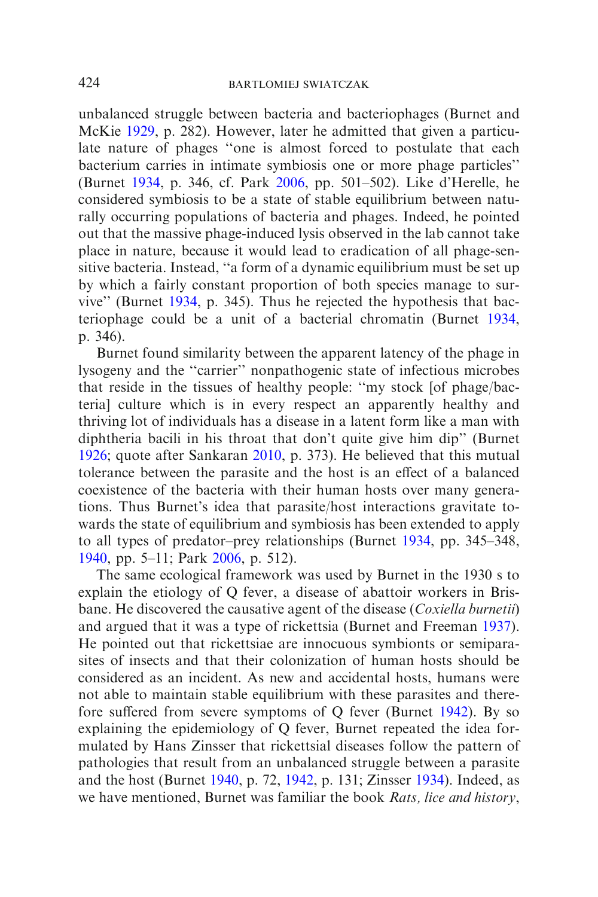unbalanced struggle between bacteria and bacteriophages (Burnet and McKie [1929](#page-26-0), p. 282). However, later he admitted that given a particulate nature of phages ''one is almost forced to postulate that each bacterium carries in intimate symbiosis one or more phage particles'' (Burnet [1934](#page-25-0), p. 346, cf. Park [2006](#page-29-0), pp. 501–502). Like d'Herelle, he considered symbiosis to be a state of stable equilibrium between naturally occurring populations of bacteria and phages. Indeed, he pointed out that the massive phage-induced lysis observed in the lab cannot take place in nature, because it would lead to eradication of all phage-sensitive bacteria. Instead, ''a form of a dynamic equilibrium must be set up by which a fairly constant proportion of both species manage to survive'' (Burnet [1934,](#page-25-0) p. 345). Thus he rejected the hypothesis that bacteriophage could be a unit of a bacterial chromatin (Burnet [1934](#page-25-0), p. 346).

Burnet found similarity between the apparent latency of the phage in lysogeny and the ''carrier'' nonpathogenic state of infectious microbes that reside in the tissues of healthy people: ''my stock [of phage/bacteria] culture which is in every respect an apparently healthy and thriving lot of individuals has a disease in a latent form like a man with diphtheria bacili in his throat that don't quite give him dip'' (Burnet [1926](#page-25-0); quote after Sankaran [2010,](#page-30-0) p. 373). He believed that this mutual tolerance between the parasite and the host is an effect of a balanced coexistence of the bacteria with their human hosts over many generations. Thus Burnet's idea that parasite/host interactions gravitate towards the state of equilibrium and symbiosis has been extended to apply to all types of predator–prey relationships (Burnet [1934,](#page-25-0) pp. 345–348, [1940](#page-25-0), pp. 5–11; Park [2006,](#page-29-0) p. 512).

The same ecological framework was used by Burnet in the 1930 s to explain the etiology of Q fever, a disease of abattoir workers in Brisbane. He discovered the causative agent of the disease (Coxiella burnetii) and argued that it was a type of rickettsia (Burnet and Freeman [1937\)](#page-26-0). He pointed out that rickettsiae are innocuous symbionts or semiparasites of insects and that their colonization of human hosts should be considered as an incident. As new and accidental hosts, humans were not able to maintain stable equilibrium with these parasites and therefore suffered from severe symptoms of Q fever (Burnet [1942](#page-25-0)). By so explaining the epidemiology of Q fever, Burnet repeated the idea formulated by Hans Zinsser that rickettsial diseases follow the pattern of pathologies that result from an unbalanced struggle between a parasite and the host (Burnet [1940](#page-25-0), p. 72, [1942,](#page-25-0) p. 131; Zinsser [1934\)](#page-31-0). Indeed, as we have mentioned, Burnet was familiar the book Rats, lice and history,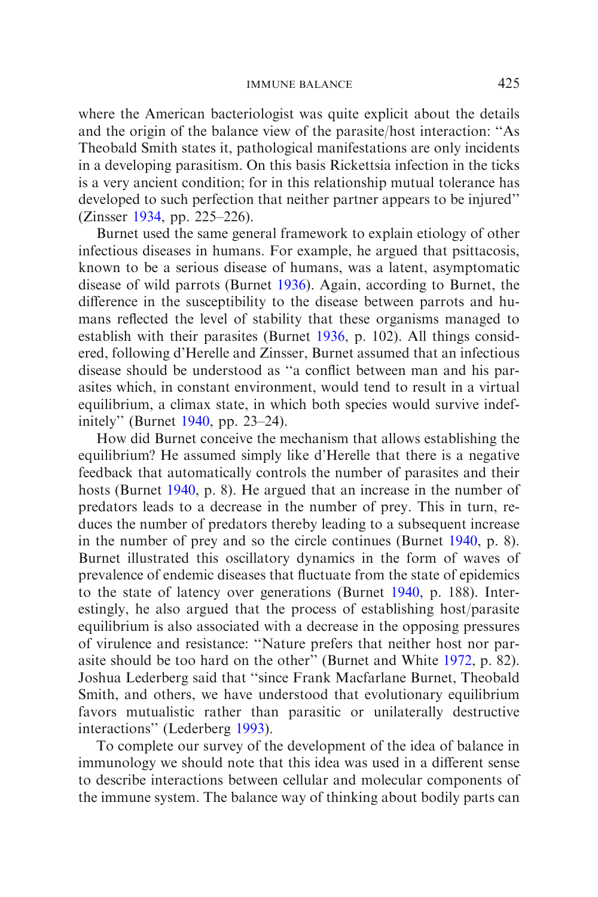where the American bacteriologist was quite explicit about the details and the origin of the balance view of the parasite/host interaction: ''As Theobald Smith states it, pathological manifestations are only incidents in a developing parasitism. On this basis Rickettsia infection in the ticks is a very ancient condition; for in this relationship mutual tolerance has developed to such perfection that neither partner appears to be injured'' (Zinsser [1934](#page-31-0), pp. 225–226).

Burnet used the same general framework to explain etiology of other infectious diseases in humans. For example, he argued that psittacosis, known to be a serious disease of humans, was a latent, asymptomatic disease of wild parrots (Burnet [1936\)](#page-25-0). Again, according to Burnet, the difference in the susceptibility to the disease between parrots and humans reflected the level of stability that these organisms managed to establish with their parasites (Burnet [1936,](#page-25-0) p. 102). All things considered, following d'Herelle and Zinsser, Burnet assumed that an infectious disease should be understood as ''a conflict between man and his parasites which, in constant environment, would tend to result in a virtual equilibrium, a climax state, in which both species would survive indefinitely'' (Burnet [1940](#page-25-0), pp. 23–24).

How did Burnet conceive the mechanism that allows establishing the equilibrium? He assumed simply like d'Herelle that there is a negative feedback that automatically controls the number of parasites and their hosts (Burnet [1940](#page-25-0), p. 8). He argued that an increase in the number of predators leads to a decrease in the number of prey. This in turn, reduces the number of predators thereby leading to a subsequent increase in the number of prey and so the circle continues (Burnet [1940](#page-25-0), p. 8). Burnet illustrated this oscillatory dynamics in the form of waves of prevalence of endemic diseases that fluctuate from the state of epidemics to the state of latency over generations (Burnet [1940](#page-25-0), p. 188). Interestingly, he also argued that the process of establishing host/parasite equilibrium is also associated with a decrease in the opposing pressures of virulence and resistance: ''Nature prefers that neither host nor parasite should be too hard on the other'' (Burnet and White [1972,](#page-26-0) p. 82). Joshua Lederberg said that ''since Frank Macfarlane Burnet, Theobald Smith, and others, we have understood that evolutionary equilibrium favors mutualistic rather than parasitic or unilaterally destructive interactions'' (Lederberg [1993\)](#page-28-0).

To complete our survey of the development of the idea of balance in immunology we should note that this idea was used in a different sense to describe interactions between cellular and molecular components of the immune system. The balance way of thinking about bodily parts can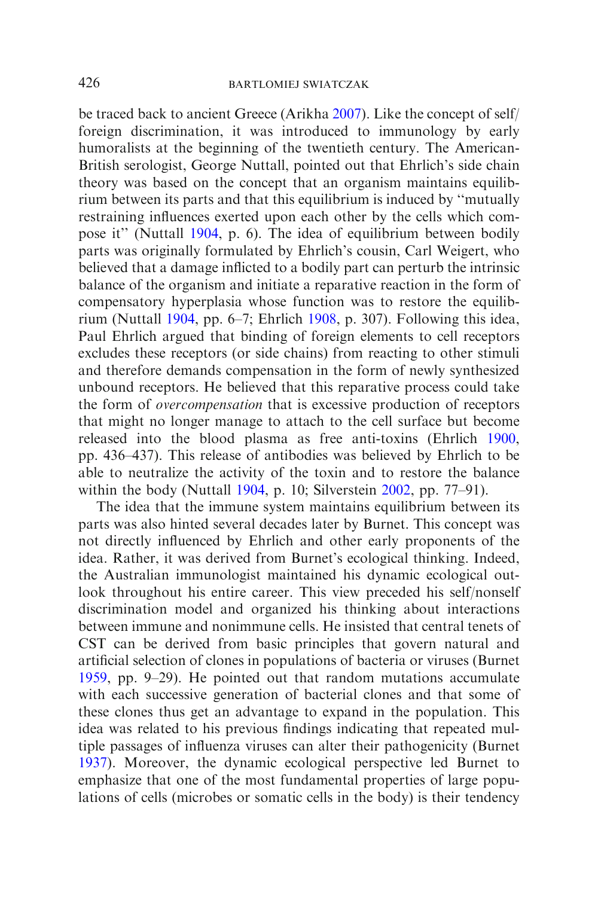be traced back to ancient Greece (Arikha [2007](#page-25-0)). Like the concept of self/ foreign discrimination, it was introduced to immunology by early humoralists at the beginning of the twentieth century. The American-British serologist, George Nuttall, pointed out that Ehrlich's side chain theory was based on the concept that an organism maintains equilibrium between its parts and that this equilibrium is induced by ''mutually restraining influences exerted upon each other by the cells which compose it'' (Nuttall [1904,](#page-29-0) p. 6). The idea of equilibrium between bodily parts was originally formulated by Ehrlich's cousin, Carl Weigert, who believed that a damage inflicted to a bodily part can perturb the intrinsic balance of the organism and initiate a reparative reaction in the form of compensatory hyperplasia whose function was to restore the equilibrium (Nuttall [1904,](#page-29-0) pp. 6–7; Ehrlich [1908](#page-27-0), p. 307). Following this idea, Paul Ehrlich argued that binding of foreign elements to cell receptors excludes these receptors (or side chains) from reacting to other stimuli and therefore demands compensation in the form of newly synthesized unbound receptors. He believed that this reparative process could take the form of overcompensation that is excessive production of receptors that might no longer manage to attach to the cell surface but become released into the blood plasma as free anti-toxins (Ehrlich [1900](#page-27-0), pp. 436–437). This release of antibodies was believed by Ehrlich to be able to neutralize the activity of the toxin and to restore the balance within the body (Nuttall [1904,](#page-29-0) p. 10; Silverstein [2002](#page-30-0), pp. 77–91).

The idea that the immune system maintains equilibrium between its parts was also hinted several decades later by Burnet. This concept was not directly influenced by Ehrlich and other early proponents of the idea. Rather, it was derived from Burnet's ecological thinking. Indeed, the Australian immunologist maintained his dynamic ecological outlook throughout his entire career. This view preceded his self/nonself discrimination model and organized his thinking about interactions between immune and nonimmune cells. He insisted that central tenets of CST can be derived from basic principles that govern natural and artificial selection of clones in populations of bacteria or viruses (Burnet [1959](#page-26-0), pp. 9–29). He pointed out that random mutations accumulate with each successive generation of bacterial clones and that some of these clones thus get an advantage to expand in the population. This idea was related to his previous findings indicating that repeated multiple passages of influenza viruses can alter their pathogenicity (Burnet [1937](#page-25-0)). Moreover, the dynamic ecological perspective led Burnet to emphasize that one of the most fundamental properties of large populations of cells (microbes or somatic cells in the body) is their tendency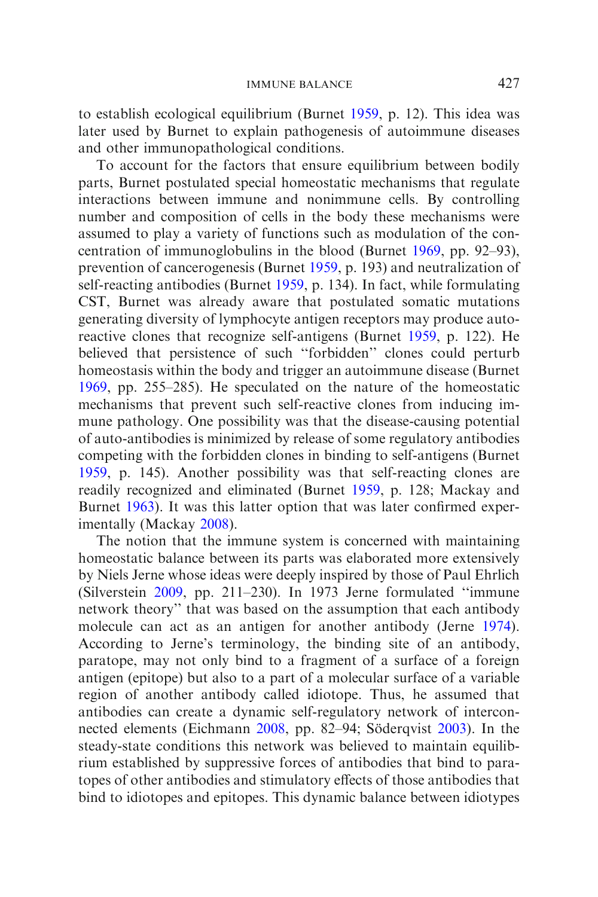to establish ecological equilibrium (Burnet [1959](#page-26-0), p. 12). This idea was later used by Burnet to explain pathogenesis of autoimmune diseases and other immunopathological conditions.

To account for the factors that ensure equilibrium between bodily parts, Burnet postulated special homeostatic mechanisms that regulate interactions between immune and nonimmune cells. By controlling number and composition of cells in the body these mechanisms were assumed to play a variety of functions such as modulation of the concentration of immunoglobulins in the blood (Burnet [1969](#page-26-0), pp. 92–93), prevention of cancerogenesis (Burnet [1959](#page-26-0), p. 193) and neutralization of self-reacting antibodies (Burnet [1959,](#page-26-0) p. 134). In fact, while formulating CST, Burnet was already aware that postulated somatic mutations generating diversity of lymphocyte antigen receptors may produce autoreactive clones that recognize self-antigens (Burnet [1959](#page-26-0), p. 122). He believed that persistence of such "forbidden" clones could perturb homeostasis within the body and trigger an autoimmune disease (Burnet [1969](#page-26-0), pp. 255–285). He speculated on the nature of the homeostatic mechanisms that prevent such self-reactive clones from inducing immune pathology. One possibility was that the disease-causing potential of auto-antibodies is minimized by release of some regulatory antibodies competing with the forbidden clones in binding to self-antigens (Burnet [1959](#page-26-0), p. 145). Another possibility was that self-reacting clones are readily recognized and eliminated (Burnet [1959](#page-26-0), p. 128; Mackay and Burnet [1963](#page-29-0)). It was this latter option that was later confirmed experimentally (Mackay [2008\)](#page-28-0).

The notion that the immune system is concerned with maintaining homeostatic balance between its parts was elaborated more extensively by Niels Jerne whose ideas were deeply inspired by those of Paul Ehrlich (Silverstein [2009,](#page-30-0) pp. 211–230). In 1973 Jerne formulated ''immune network theory'' that was based on the assumption that each antibody molecule can act as an antigen for another antibody (Jerne [1974\)](#page-28-0). According to Jerne's terminology, the binding site of an antibody, paratope, may not only bind to a fragment of a surface of a foreign antigen (epitope) but also to a part of a molecular surface of a variable region of another antibody called idiotope. Thus, he assumed that antibodies can create a dynamic self-regulatory network of intercon-nected elements (Eichmann [2008](#page-27-0), pp. 82–94; Söderqvist [2003\)](#page-30-0). In the steady-state conditions this network was believed to maintain equilibrium established by suppressive forces of antibodies that bind to paratopes of other antibodies and stimulatory effects of those antibodies that bind to idiotopes and epitopes. This dynamic balance between idiotypes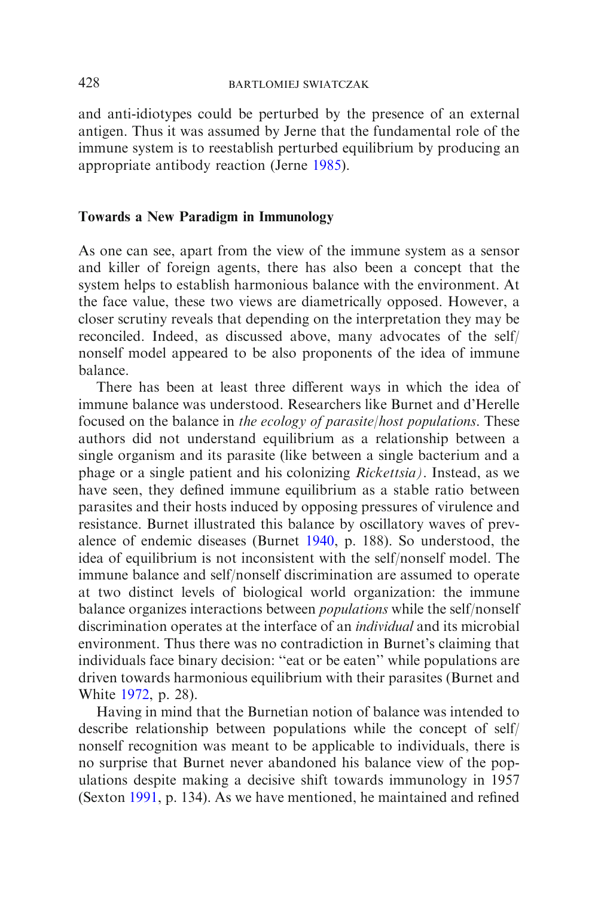and anti-idiotypes could be perturbed by the presence of an external antigen. Thus it was assumed by Jerne that the fundamental role of the immune system is to reestablish perturbed equilibrium by producing an appropriate antibody reaction (Jerne [1985\)](#page-28-0).

# Towards a New Paradigm in Immunology

As one can see, apart from the view of the immune system as a sensor and killer of foreign agents, there has also been a concept that the system helps to establish harmonious balance with the environment. At the face value, these two views are diametrically opposed. However, a closer scrutiny reveals that depending on the interpretation they may be reconciled. Indeed, as discussed above, many advocates of the self/ nonself model appeared to be also proponents of the idea of immune balance.

There has been at least three different ways in which the idea of immune balance was understood. Researchers like Burnet and d'Herelle focused on the balance in the ecology of parasite/host populations. These authors did not understand equilibrium as a relationship between a single organism and its parasite (like between a single bacterium and a phage or a single patient and his colonizing Rickettsia). Instead, as we have seen, they defined immune equilibrium as a stable ratio between parasites and their hosts induced by opposing pressures of virulence and resistance. Burnet illustrated this balance by oscillatory waves of prevalence of endemic diseases (Burnet [1940,](#page-25-0) p. 188). So understood, the idea of equilibrium is not inconsistent with the self/nonself model. The immune balance and self/nonself discrimination are assumed to operate at two distinct levels of biological world organization: the immune balance organizes interactions between populations while the self/nonself discrimination operates at the interface of an individual and its microbial environment. Thus there was no contradiction in Burnet's claiming that individuals face binary decision: ''eat or be eaten'' while populations are driven towards harmonious equilibrium with their parasites (Burnet and White [1972](#page-26-0), p. 28).

Having in mind that the Burnetian notion of balance was intended to describe relationship between populations while the concept of self/ nonself recognition was meant to be applicable to individuals, there is no surprise that Burnet never abandoned his balance view of the populations despite making a decisive shift towards immunology in 1957 (Sexton [1991,](#page-30-0) p. 134). As we have mentioned, he maintained and refined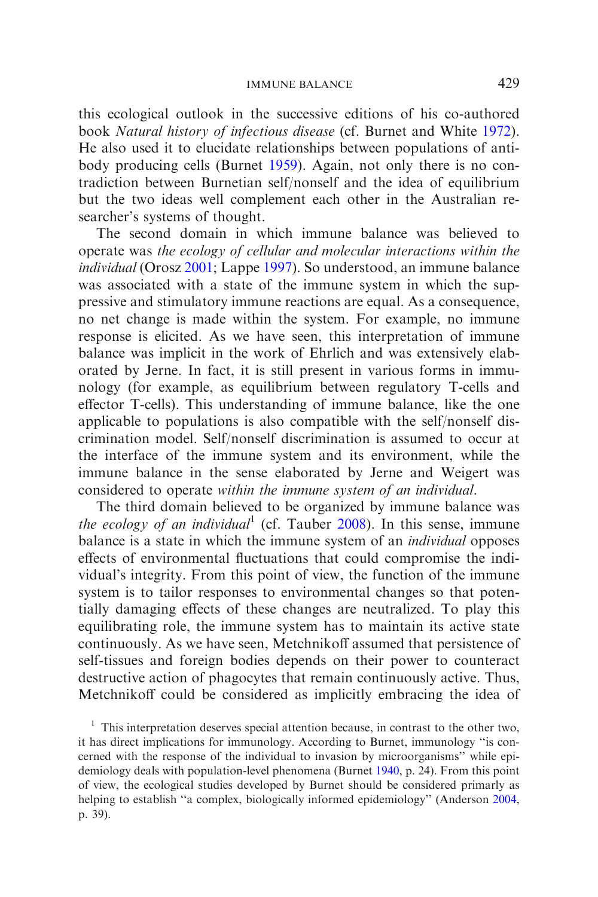this ecological outlook in the successive editions of his co-authored book Natural history of infectious disease (cf. Burnet and White [1972\)](#page-26-0). He also used it to elucidate relationships between populations of antibody producing cells (Burnet [1959\)](#page-26-0). Again, not only there is no contradiction between Burnetian self/nonself and the idea of equilibrium but the two ideas well complement each other in the Australian researcher's systems of thought.

The second domain in which immune balance was believed to operate was the ecology of cellular and molecular interactions within the individual (Orosz [2001;](#page-29-0) Lappe [1997](#page-28-0)). So understood, an immune balance was associated with a state of the immune system in which the suppressive and stimulatory immune reactions are equal. As a consequence, no net change is made within the system. For example, no immune response is elicited. As we have seen, this interpretation of immune balance was implicit in the work of Ehrlich and was extensively elaborated by Jerne. In fact, it is still present in various forms in immunology (for example, as equilibrium between regulatory T-cells and effector T-cells). This understanding of immune balance, like the one applicable to populations is also compatible with the self/nonself discrimination model. Self/nonself discrimination is assumed to occur at the interface of the immune system and its environment, while the immune balance in the sense elaborated by Jerne and Weigert was considered to operate within the immune system of an individual.

The third domain believed to be organized by immune balance was the ecology of an individual<sup>1</sup> (cf. Tauber [2008\)](#page-31-0). In this sense, immune balance is a state in which the immune system of an individual opposes effects of environmental fluctuations that could compromise the individual's integrity. From this point of view, the function of the immune system is to tailor responses to environmental changes so that potentially damaging effects of these changes are neutralized. To play this equilibrating role, the immune system has to maintain its active state continuously. As we have seen, Metchnikoff assumed that persistence of self-tissues and foreign bodies depends on their power to counteract destructive action of phagocytes that remain continuously active. Thus, Metchnikoff could be considered as implicitly embracing the idea of

 $1$ . This interpretation deserves special attention because, in contrast to the other two, it has direct implications for immunology. According to Burnet, immunology ''is concerned with the response of the individual to invasion by microorganisms'' while epidemiology deals with population-level phenomena (Burnet [1940,](#page-25-0) p. 24). From this point of view, the ecological studies developed by Burnet should be considered primarly as helping to establish ''a complex, biologically informed epidemiology'' (Anderson [2004,](#page-25-0) p. 39).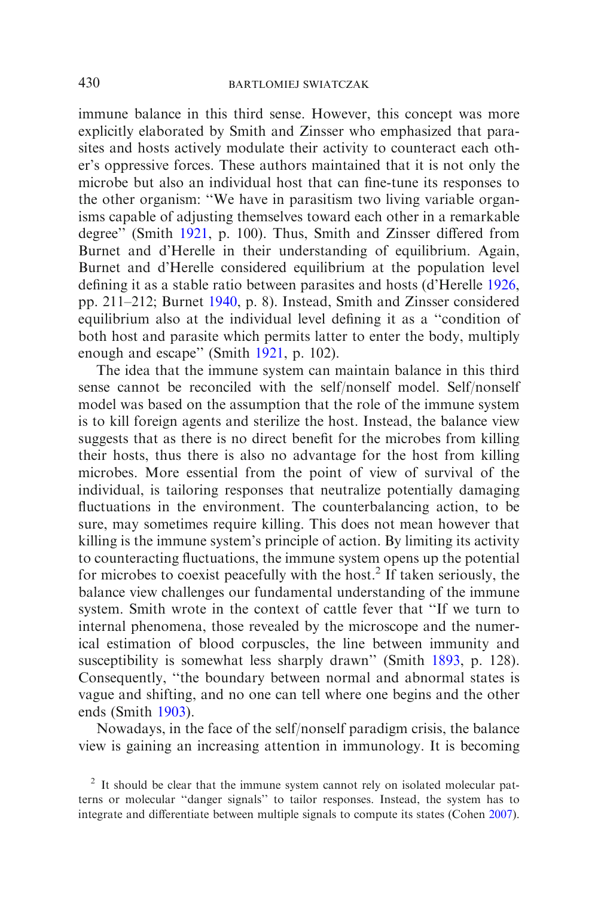immune balance in this third sense. However, this concept was more explicitly elaborated by Smith and Zinsser who emphasized that parasites and hosts actively modulate their activity to counteract each other's oppressive forces. These authors maintained that it is not only the microbe but also an individual host that can fine-tune its responses to the other organism: ''We have in parasitism two living variable organisms capable of adjusting themselves toward each other in a remarkable degree'' (Smith [1921,](#page-30-0) p. 100). Thus, Smith and Zinsser differed from Burnet and d'Herelle in their understanding of equilibrium. Again, Burnet and d'Herelle considered equilibrium at the population level defining it as a stable ratio between parasites and hosts (d'Herelle [1926](#page-26-0), pp. 211–212; Burnet [1940,](#page-25-0) p. 8). Instead, Smith and Zinsser considered equilibrium also at the individual level defining it as a ''condition of both host and parasite which permits latter to enter the body, multiply enough and escape'' (Smith [1921](#page-30-0), p. 102).

The idea that the immune system can maintain balance in this third sense cannot be reconciled with the self/nonself model. Self/nonself model was based on the assumption that the role of the immune system is to kill foreign agents and sterilize the host. Instead, the balance view suggests that as there is no direct benefit for the microbes from killing their hosts, thus there is also no advantage for the host from killing microbes. More essential from the point of view of survival of the individual, is tailoring responses that neutralize potentially damaging fluctuations in the environment. The counterbalancing action, to be sure, may sometimes require killing. This does not mean however that killing is the immune system's principle of action. By limiting its activity to counteracting fluctuations, the immune system opens up the potential for microbes to coexist peacefully with the host.<sup>2</sup> If taken seriously, the balance view challenges our fundamental understanding of the immune system. Smith wrote in the context of cattle fever that ''If we turn to internal phenomena, those revealed by the microscope and the numerical estimation of blood corpuscles, the line between immunity and susceptibility is somewhat less sharply drawn'' (Smith [1893](#page-30-0), p. 128). Consequently, ''the boundary between normal and abnormal states is vague and shifting, and no one can tell where one begins and the other ends (Smith [1903](#page-30-0)).

Nowadays, in the face of the self/nonself paradigm crisis, the balance view is gaining an increasing attention in immunology. It is becoming

<sup>&</sup>lt;sup>2</sup> It should be clear that the immune system cannot rely on isolated molecular patterns or molecular ''danger signals'' to tailor responses. Instead, the system has to integrate and differentiate between multiple signals to compute its states (Cohen [2007\)](#page-26-0).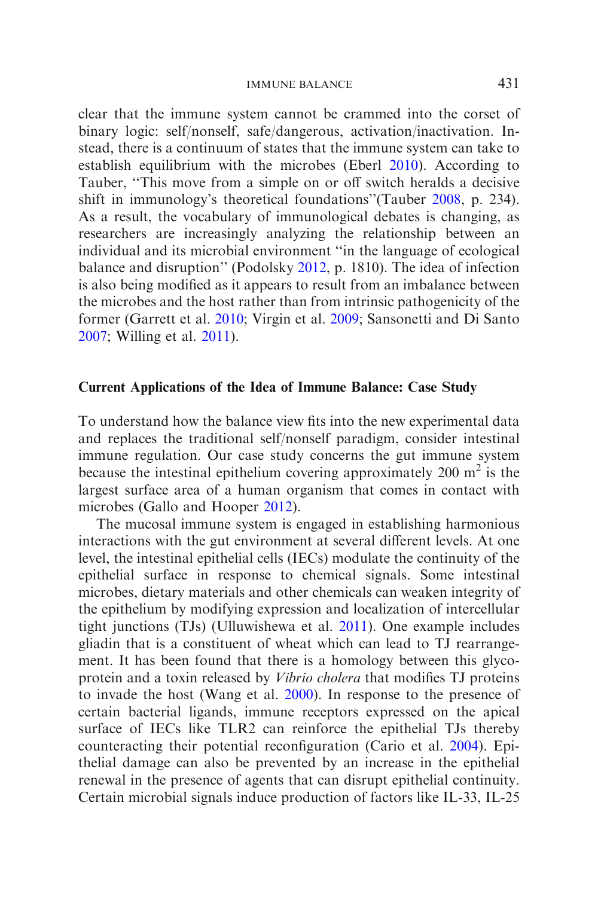clear that the immune system cannot be crammed into the corset of binary logic: self/nonself, safe/dangerous, activation/inactivation. Instead, there is a continuum of states that the immune system can take to establish equilibrium with the microbes (Eberl [2010](#page-27-0)). According to Tauber, ''This move from a simple on or off switch heralds a decisive shift in immunology's theoretical foundations''(Tauber [2008,](#page-31-0) p. 234). As a result, the vocabulary of immunological debates is changing, as researchers are increasingly analyzing the relationship between an individual and its microbial environment ''in the language of ecological balance and disruption'' (Podolsky [2012,](#page-29-0) p. 1810). The idea of infection is also being modified as it appears to result from an imbalance between the microbes and the host rather than from intrinsic pathogenicity of the former (Garrett et al. [2010;](#page-27-0) Virgin et al. [2009](#page-31-0); Sansonetti and Di Santo [2007](#page-30-0); Willing et al. [2011\)](#page-31-0).

### Current Applications of the Idea of Immune Balance: Case Study

To understand how the balance view fits into the new experimental data and replaces the traditional self/nonself paradigm, consider intestinal immune regulation. Our case study concerns the gut immune system because the intestinal epithelium covering approximately 200  $m<sup>2</sup>$  is the largest surface area of a human organism that comes in contact with microbes (Gallo and Hooper [2012\)](#page-27-0).

The mucosal immune system is engaged in establishing harmonious interactions with the gut environment at several different levels. At one level, the intestinal epithelial cells (IECs) modulate the continuity of the epithelial surface in response to chemical signals. Some intestinal microbes, dietary materials and other chemicals can weaken integrity of the epithelium by modifying expression and localization of intercellular tight junctions (TJs) (Ulluwishewa et al. [2011\)](#page-31-0). One example includes gliadin that is a constituent of wheat which can lead to TJ rearrangement. It has been found that there is a homology between this glycoprotein and a toxin released by Vibrio cholera that modifies TJ proteins to invade the host (Wang et al. [2000\)](#page-31-0). In response to the presence of certain bacterial ligands, immune receptors expressed on the apical surface of IECs like TLR2 can reinforce the epithelial TJs thereby counteracting their potential reconfiguration (Cario et al. [2004\)](#page-26-0). Epithelial damage can also be prevented by an increase in the epithelial renewal in the presence of agents that can disrupt epithelial continuity. Certain microbial signals induce production of factors like IL-33, IL-25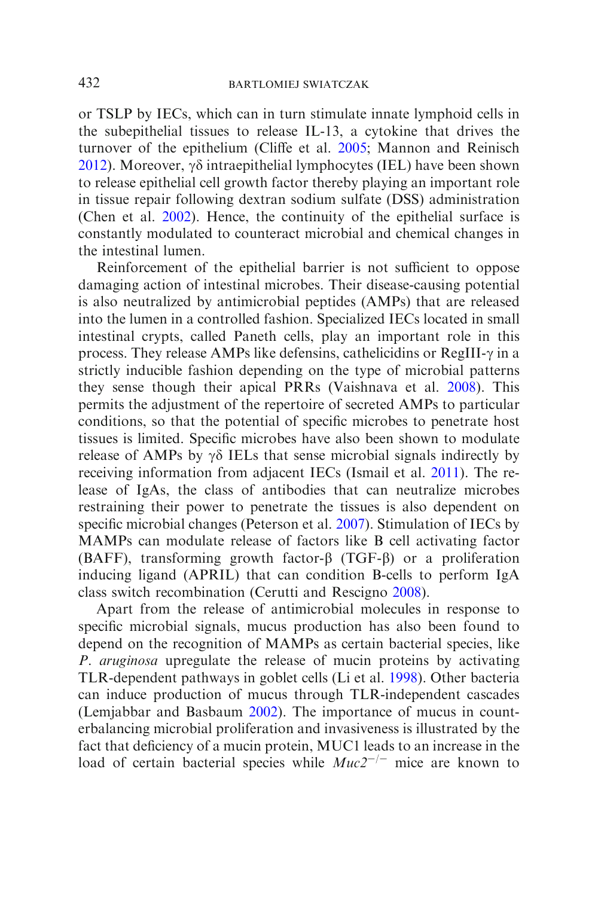or TSLP by IECs, which can in turn stimulate innate lymphoid cells in the subepithelial tissues to release IL-13, a cytokine that drives the turnover of the epithelium (Cliffe et al. [2005](#page-26-0); Mannon and Reinisch [2012](#page-29-0)). Moreover,  $\gamma\delta$  intraepithelial lymphocytes (IEL) have been shown to release epithelial cell growth factor thereby playing an important role in tissue repair following dextran sodium sulfate (DSS) administration (Chen et al. [2002\)](#page-26-0). Hence, the continuity of the epithelial surface is constantly modulated to counteract microbial and chemical changes in the intestinal lumen.

Reinforcement of the epithelial barrier is not sufficient to oppose damaging action of intestinal microbes. Their disease-causing potential is also neutralized by antimicrobial peptides (AMPs) that are released into the lumen in a controlled fashion. Specialized IECs located in small intestinal crypts, called Paneth cells, play an important role in this process. They release AMPs like defensins, cathelicidins or  $\text{RegIII-}\gamma$  in a strictly inducible fashion depending on the type of microbial patterns they sense though their apical PRRs (Vaishnava et al. [2008](#page-31-0)). This permits the adjustment of the repertoire of secreted AMPs to particular conditions, so that the potential of specific microbes to penetrate host tissues is limited. Specific microbes have also been shown to modulate release of AMPs by  $\gamma\delta$  IELs that sense microbial signals indirectly by receiving information from adjacent IECs (Ismail et al. [2011\)](#page-28-0). The release of IgAs, the class of antibodies that can neutralize microbes restraining their power to penetrate the tissues is also dependent on specific microbial changes (Peterson et al. [2007\)](#page-29-0). Stimulation of IECs by MAMPs can modulate release of factors like B cell activating factor  $(BAFF)$ , transforming growth factor- $\beta$  (TGF- $\beta$ ) or a proliferation inducing ligand (APRIL) that can condition B-cells to perform IgA class switch recombination (Cerutti and Rescigno [2008\)](#page-26-0).

Apart from the release of antimicrobial molecules in response to specific microbial signals, mucus production has also been found to depend on the recognition of MAMPs as certain bacterial species, like P. aruginosa upregulate the release of mucin proteins by activating TLR-dependent pathways in goblet cells (Li et al. [1998\)](#page-28-0). Other bacteria can induce production of mucus through TLR-independent cascades (Lemjabbar and Basbaum [2002\)](#page-28-0). The importance of mucus in counterbalancing microbial proliferation and invasiveness is illustrated by the fact that deficiency of a mucin protein, MUC1 leads to an increase in the load of certain bacterial species while  $Muc2^{-/-}$  mice are known to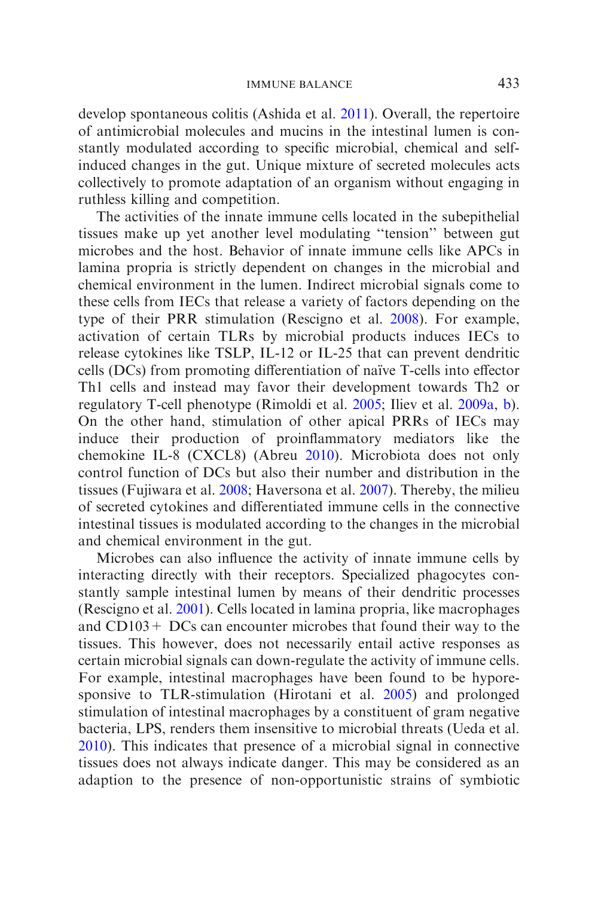develop spontaneous colitis (Ashida et al. [2011](#page-25-0)). Overall, the repertoire of antimicrobial molecules and mucins in the intestinal lumen is constantly modulated according to specific microbial, chemical and selfinduced changes in the gut. Unique mixture of secreted molecules acts collectively to promote adaptation of an organism without engaging in ruthless killing and competition.

The activities of the innate immune cells located in the subepithelial tissues make up yet another level modulating ''tension'' between gut microbes and the host. Behavior of innate immune cells like APCs in lamina propria is strictly dependent on changes in the microbial and chemical environment in the lumen. Indirect microbial signals come to these cells from IECs that release a variety of factors depending on the type of their PRR stimulation (Rescigno et al. [2008\)](#page-30-0). For example, activation of certain TLRs by microbial products induces IECs to release cytokines like TSLP, IL-12 or IL-25 that can prevent dendritic cells (DCs) from promoting differentiation of naïve T-cells into effector Th1 cells and instead may favor their development towards Th2 or regulatory T-cell phenotype (Rimoldi et al. [2005](#page-30-0); Iliev et al. [2009a,](#page-27-0) [b\)](#page-28-0). On the other hand, stimulation of other apical PRRs of IECs may induce their production of proinflammatory mediators like the chemokine IL-8 (CXCL8) (Abreu [2010\)](#page-25-0). Microbiota does not only control function of DCs but also their number and distribution in the tissues (Fujiwara et al. [2008](#page-27-0); Haversona et al. [2007\)](#page-27-0). Thereby, the milieu of secreted cytokines and differentiated immune cells in the connective intestinal tissues is modulated according to the changes in the microbial and chemical environment in the gut.

Microbes can also influence the activity of innate immune cells by interacting directly with their receptors. Specialized phagocytes constantly sample intestinal lumen by means of their dendritic processes (Rescigno et al. [2001](#page-30-0)). Cells located in lamina propria, like macrophages and CD103+ DCs can encounter microbes that found their way to the tissues. This however, does not necessarily entail active responses as certain microbial signals can down-regulate the activity of immune cells. For example, intestinal macrophages have been found to be hyporesponsive to TLR-stimulation (Hirotani et al. [2005\)](#page-27-0) and prolonged stimulation of intestinal macrophages by a constituent of gram negative bacteria, LPS, renders them insensitive to microbial threats (Ueda et al. [2010](#page-31-0)). This indicates that presence of a microbial signal in connective tissues does not always indicate danger. This may be considered as an adaption to the presence of non-opportunistic strains of symbiotic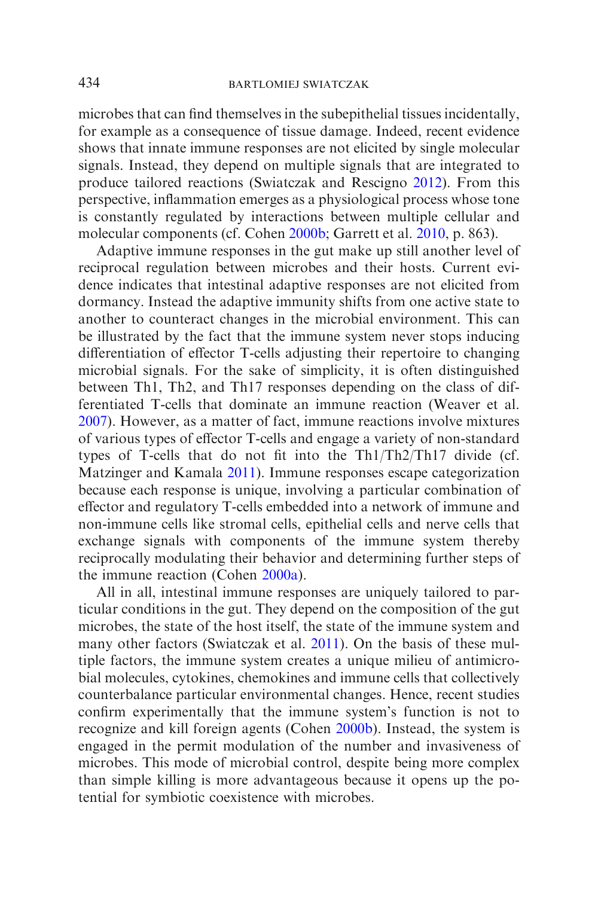microbes that can find themselves in the subepithelial tissues incidentally, for example as a consequence of tissue damage. Indeed, recent evidence shows that innate immune responses are not elicited by single molecular signals. Instead, they depend on multiple signals that are integrated to produce tailored reactions (Swiatczak and Rescigno [2012](#page-31-0)). From this perspective, inflammation emerges as a physiological process whose tone is constantly regulated by interactions between multiple cellular and molecular components (cf. Cohen [2000b](#page-26-0); Garrett et al. [2010,](#page-27-0) p. 863).

Adaptive immune responses in the gut make up still another level of reciprocal regulation between microbes and their hosts. Current evidence indicates that intestinal adaptive responses are not elicited from dormancy. Instead the adaptive immunity shifts from one active state to another to counteract changes in the microbial environment. This can be illustrated by the fact that the immune system never stops inducing differentiation of effector T-cells adjusting their repertoire to changing microbial signals. For the sake of simplicity, it is often distinguished between Th1, Th2, and Th17 responses depending on the class of differentiated T-cells that dominate an immune reaction (Weaver et al. [2007](#page-31-0)). However, as a matter of fact, immune reactions involve mixtures of various types of effector T-cells and engage a variety of non-standard types of T-cells that do not fit into the Th1/Th2/Th17 divide (cf. Matzinger and Kamala [2011](#page-29-0)). Immune responses escape categorization because each response is unique, involving a particular combination of effector and regulatory T-cells embedded into a network of immune and non-immune cells like stromal cells, epithelial cells and nerve cells that exchange signals with components of the immune system thereby reciprocally modulating their behavior and determining further steps of the immune reaction (Cohen [2000a](#page-26-0)).

All in all, intestinal immune responses are uniquely tailored to particular conditions in the gut. They depend on the composition of the gut microbes, the state of the host itself, the state of the immune system and many other factors (Swiatczak et al. [2011\)](#page-31-0). On the basis of these multiple factors, the immune system creates a unique milieu of antimicrobial molecules, cytokines, chemokines and immune cells that collectively counterbalance particular environmental changes. Hence, recent studies confirm experimentally that the immune system's function is not to recognize and kill foreign agents (Cohen [2000b\)](#page-26-0). Instead, the system is engaged in the permit modulation of the number and invasiveness of microbes. This mode of microbial control, despite being more complex than simple killing is more advantageous because it opens up the potential for symbiotic coexistence with microbes.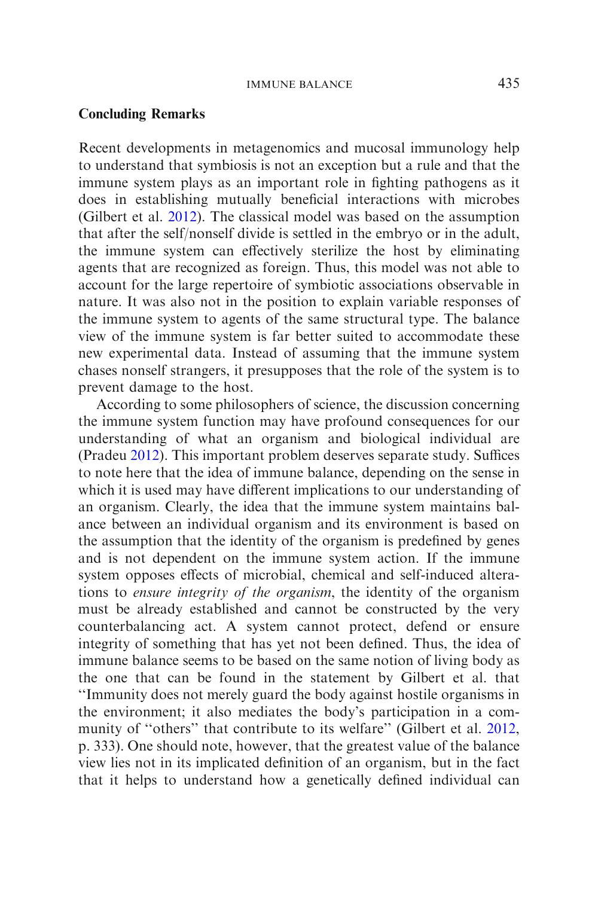## Concluding Remarks

Recent developments in metagenomics and mucosal immunology help to understand that symbiosis is not an exception but a rule and that the immune system plays as an important role in fighting pathogens as it does in establishing mutually beneficial interactions with microbes (Gilbert et al. [2012](#page-27-0)). The classical model was based on the assumption that after the self/nonself divide is settled in the embryo or in the adult, the immune system can effectively sterilize the host by eliminating agents that are recognized as foreign. Thus, this model was not able to account for the large repertoire of symbiotic associations observable in nature. It was also not in the position to explain variable responses of the immune system to agents of the same structural type. The balance view of the immune system is far better suited to accommodate these new experimental data. Instead of assuming that the immune system chases nonself strangers, it presupposes that the role of the system is to prevent damage to the host.

According to some philosophers of science, the discussion concerning the immune system function may have profound consequences for our understanding of what an organism and biological individual are (Pradeu [2012\)](#page-30-0). This important problem deserves separate study. Suffices to note here that the idea of immune balance, depending on the sense in which it is used may have different implications to our understanding of an organism. Clearly, the idea that the immune system maintains balance between an individual organism and its environment is based on the assumption that the identity of the organism is predefined by genes and is not dependent on the immune system action. If the immune system opposes effects of microbial, chemical and self-induced alterations to ensure integrity of the organism, the identity of the organism must be already established and cannot be constructed by the very counterbalancing act. A system cannot protect, defend or ensure integrity of something that has yet not been defined. Thus, the idea of immune balance seems to be based on the same notion of living body as the one that can be found in the statement by Gilbert et al. that ''Immunity does not merely guard the body against hostile organisms in the environment; it also mediates the body's participation in a com-munity of "others" that contribute to its welfare" (Gilbert et al. [2012](#page-27-0), p. 333). One should note, however, that the greatest value of the balance view lies not in its implicated definition of an organism, but in the fact that it helps to understand how a genetically defined individual can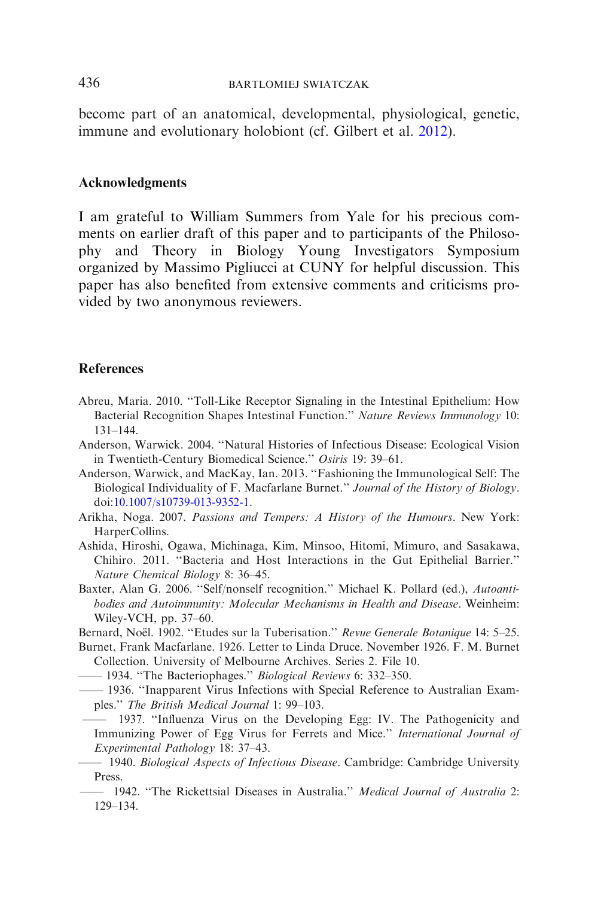become part of an anatomical, developmental, physiological, genetic, immune and evolutionary holobiont (cf. Gilbert et al. [2012](#page-27-0)).

# Acknowledgments

I am grateful to William Summers from Yale for his precious comments on earlier draft of this paper and to participants of the Philosophy and Theory in Biology Young Investigators Symposium organized by Massimo Pigliucci at CUNY for helpful discussion. This paper has also benefited from extensive comments and criticisms provided by two anonymous reviewers.

# **References**

- Abreu, Maria. 2010. ''Toll-Like Receptor Signaling in the Intestinal Epithelium: How Bacterial Recognition Shapes Intestinal Function.'' Nature Reviews Immunology 10: 131–144.
- Anderson, Warwick. 2004. ''Natural Histories of Infectious Disease: Ecological Vision in Twentieth-Century Biomedical Science.'' Osiris 19: 39–61.
- Anderson, Warwick, and MacKay, Ian. 2013. ''Fashioning the Immunological Self: The Biological Individuality of F. Macfarlane Burnet.'' Journal of the History of Biology. doi[:10.1007/s10739-013-9352-1](http://dx.doi.org/10.1007/s10739-013-9352-1).
- Arikha, Noga. 2007. Passions and Tempers: A History of the Humours. New York: HarperCollins.
- Ashida, Hiroshi, Ogawa, Michinaga, Kim, Minsoo, Hitomi, Mimuro, and Sasakawa, Chihiro. 2011. ''Bacteria and Host Interactions in the Gut Epithelial Barrier.'' Nature Chemical Biology 8: 36–45.
- Baxter, Alan G. 2006. "Self/nonself recognition." Michael K. Pollard (ed.), Autoantibodies and Autoimmunity: Molecular Mechanisms in Health and Disease. Weinheim: Wiley-VCH, pp. 37–60.

Bernard, Noël. 1902. "Etudes sur la Tuberisation." Revue Generale Botanique 14: 5–25.

Burnet, Frank Macfarlane. 1926. Letter to Linda Druce. November 1926. F. M. Burnet Collection. University of Melbourne Archives. Series 2. File 10.

— 1934. "The Bacteriophages." *Biological Reviews* 6: 332–350.

**2008** - 1936. "Inapparent Virus Infections with Special Reference to Australian Examples.'' The British Medical Journal 1: 99–103.

—— 1937. ''Influenza Virus on the Developing Egg: IV. The Pathogenicity and Immunizing Power of Egg Virus for Ferrets and Mice.'' International Journal of Experimental Pathology 18: 37–43.

- —— 1940. Biological Aspects of Infectious Disease. Cambridge: Cambridge University Press.
- 1942. "The Rickettsial Diseases in Australia." *Medical Journal of Australia* 2: 129–134.

<span id="page-25-0"></span>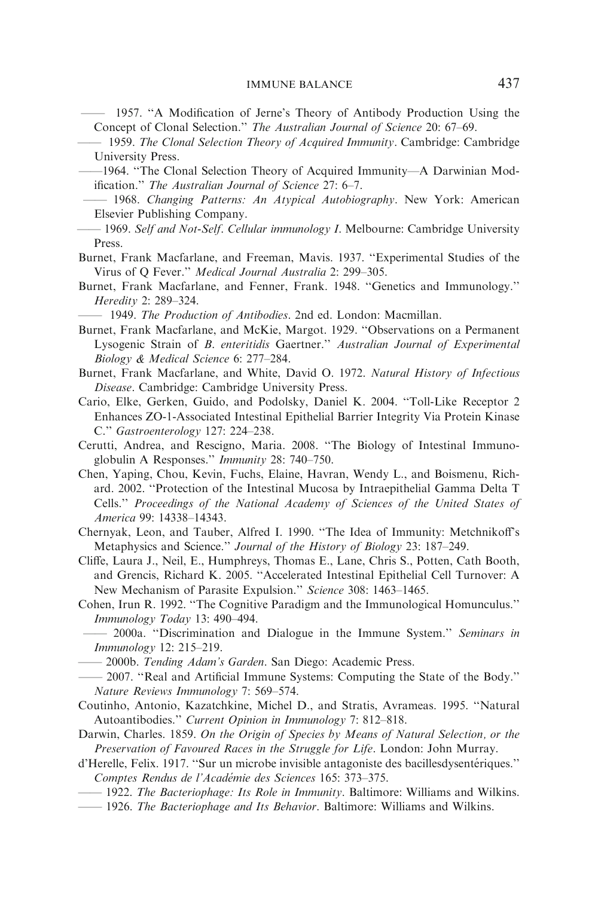<span id="page-26-0"></span>—— 1957. ''A Modification of Jerne's Theory of Antibody Production Using the Concept of Clonal Selection.'' The Australian Journal of Science 20: 67–69.

1959. The Clonal Selection Theory of Acquired Immunity. Cambridge: Cambridge University Press.

——1964. ''The Clonal Selection Theory of Acquired Immunity—A Darwinian Modification.'' The Australian Journal of Science 27: 6–7.

- 1968. Changing Patterns: An Atypical Autobiography. New York: American Elsevier Publishing Company.
- 1969. Self and Not-Self. Cellular immunology I. Melbourne: Cambridge University Press.
- Burnet, Frank Macfarlane, and Freeman, Mavis. 1937. ''Experimental Studies of the Virus of Q Fever.'' Medical Journal Australia 2: 299–305.
- Burnet, Frank Macfarlane, and Fenner, Frank. 1948. ''Genetics and Immunology.'' Heredity 2: 289–324.
- —— 1949. The Production of Antibodies. 2nd ed. London: Macmillan.
- Burnet, Frank Macfarlane, and McKie, Margot. 1929. ''Observations on a Permanent Lysogenic Strain of B. enteritidis Gaertner.'' Australian Journal of Experimental Biology & Medical Science 6: 277–284.
- Burnet, Frank Macfarlane, and White, David O. 1972. Natural History of Infectious Disease. Cambridge: Cambridge University Press.
- Cario, Elke, Gerken, Guido, and Podolsky, Daniel K. 2004. ''Toll-Like Receptor 2 Enhances ZO-1-Associated Intestinal Epithelial Barrier Integrity Via Protein Kinase C.'' Gastroenterology 127: 224–238.
- Cerutti, Andrea, and Rescigno, Maria. 2008. ''The Biology of Intestinal Immunoglobulin A Responses.'' Immunity 28: 740–750.
- Chen, Yaping, Chou, Kevin, Fuchs, Elaine, Havran, Wendy L., and Boismenu, Richard. 2002. ''Protection of the Intestinal Mucosa by Intraepithelial Gamma Delta T Cells.'' Proceedings of the National Academy of Sciences of the United States of America 99: 14338–14343.
- Chernyak, Leon, and Tauber, Alfred I. 1990. ''The Idea of Immunity: Metchnikoff's Metaphysics and Science.'' Journal of the History of Biology 23: 187–249.
- Cliffe, Laura J., Neil, E., Humphreys, Thomas E., Lane, Chris S., Potten, Cath Booth, and Grencis, Richard K. 2005. ''Accelerated Intestinal Epithelial Cell Turnover: A New Mechanism of Parasite Expulsion.'' Science 308: 1463–1465.
- Cohen, Irun R. 1992. ''The Cognitive Paradigm and the Immunological Homunculus.'' Immunology Today 13: 490–494.
	- 2000a. "Discrimination and Dialogue in the Immune System." Seminars in Immunology 12: 215–219.
	- —— 2000b. Tending Adam's Garden. San Diego: Academic Press.
- —— 2007. ''Real and Artificial Immune Systems: Computing the State of the Body.'' Nature Reviews Immunology 7: 569–574.
- Coutinho, Antonio, Kazatchkine, Michel D., and Stratis, Avrameas. 1995. ''Natural Autoantibodies.'' Current Opinion in Immunology 7: 812–818.
- Darwin, Charles. 1859. On the Origin of Species by Means of Natural Selection, or the Preservation of Favoured Races in the Struggle for Life. London: John Murray.
- d'Herelle, Felix. 1917. "Sur un microbe invisible antagoniste des bacilles dysentériques." Comptes Rendus de l'Académie des Sciences 165: 373–375.
- 1922. The Bacteriophage: Its Role in Immunity. Baltimore: Williams and Wilkins.
- **-** 1926. *The Bacteriophage and Its Behavior*. Baltimore: Williams and Wilkins.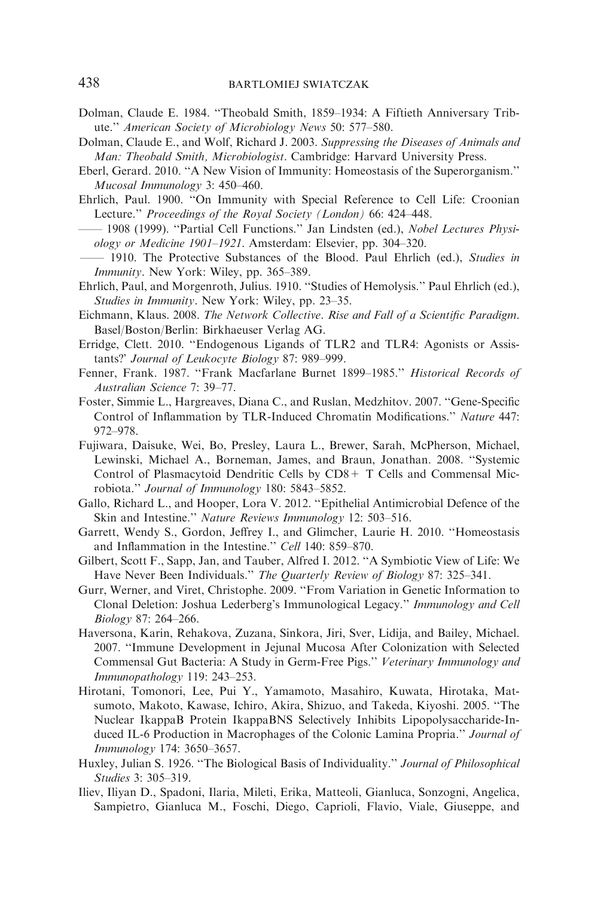- <span id="page-27-0"></span>Dolman, Claude E. 1984. ''Theobald Smith, 1859–1934: A Fiftieth Anniversary Tribute.'' American Society of Microbiology News 50: 577–580.
- Dolman, Claude E., and Wolf, Richard J. 2003. Suppressing the Diseases of Animals and Man: Theobald Smith, Microbiologist. Cambridge: Harvard University Press.
- Eberl, Gerard. 2010. ''A New Vision of Immunity: Homeostasis of the Superorganism.'' Mucosal Immunology 3: 450–460.
- Ehrlich, Paul. 1900. ''On Immunity with Special Reference to Cell Life: Croonian Lecture.'' Proceedings of the Royal Society (London) 66: 424–448.
- —— 1908 (1999). ''Partial Cell Functions.'' Jan Lindsten (ed.), Nobel Lectures Physiology or Medicine 1901–1921. Amsterdam: Elsevier, pp. 304–320.
- 1910. The Protective Substances of the Blood. Paul Ehrlich (ed.), Studies in Immunity. New York: Wiley, pp. 365–389.
- Ehrlich, Paul, and Morgenroth, Julius. 1910. ''Studies of Hemolysis.'' Paul Ehrlich (ed.), Studies in Immunity. New York: Wiley, pp. 23–35.
- Eichmann, Klaus. 2008. The Network Collective. Rise and Fall of a Scientific Paradigm. Basel/Boston/Berlin: Birkhaeuser Verlag AG.
- Erridge, Clett. 2010. ''Endogenous Ligands of TLR2 and TLR4: Agonists or Assistants?' Journal of Leukocyte Biology 87: 989-999.
- Fenner, Frank. 1987. ''Frank Macfarlane Burnet 1899–1985.'' Historical Records of Australian Science 7: 39–77.
- Foster, Simmie L., Hargreaves, Diana C., and Ruslan, Medzhitov. 2007. ''Gene-Specific Control of Inflammation by TLR-Induced Chromatin Modifications.'' Nature 447: 972–978.
- Fujiwara, Daisuke, Wei, Bo, Presley, Laura L., Brewer, Sarah, McPherson, Michael, Lewinski, Michael A., Borneman, James, and Braun, Jonathan. 2008. ''Systemic Control of Plasmacytoid Dendritic Cells by CD8+ T Cells and Commensal Microbiota.'' Journal of Immunology 180: 5843–5852.
- Gallo, Richard L., and Hooper, Lora V. 2012. ''Epithelial Antimicrobial Defence of the Skin and Intestine.'' Nature Reviews Immunology 12: 503–516.
- Garrett, Wendy S., Gordon, Jeffrey I., and Glimcher, Laurie H. 2010. ''Homeostasis and Inflammation in the Intestine.'' Cell 140: 859–870.
- Gilbert, Scott F., Sapp, Jan, and Tauber, Alfred I. 2012. ''A Symbiotic View of Life: We Have Never Been Individuals." The Quarterly Review of Biology 87: 325–341.
- Gurr, Werner, and Viret, Christophe. 2009. ''From Variation in Genetic Information to Clonal Deletion: Joshua Lederberg's Immunological Legacy.'' Immunology and Cell Biology 87: 264–266.
- Haversona, Karin, Rehakova, Zuzana, Sinkora, Jiri, Sver, Lidija, and Bailey, Michael. 2007. ''Immune Development in Jejunal Mucosa After Colonization with Selected Commensal Gut Bacteria: A Study in Germ-Free Pigs.'' Veterinary Immunology and Immunopathology 119: 243–253.
- Hirotani, Tomonori, Lee, Pui Y., Yamamoto, Masahiro, Kuwata, Hirotaka, Matsumoto, Makoto, Kawase, Ichiro, Akira, Shizuo, and Takeda, Kiyoshi. 2005. ''The Nuclear IkappaB Protein IkappaBNS Selectively Inhibits Lipopolysaccharide-Induced IL-6 Production in Macrophages of the Colonic Lamina Propria." Journal of Immunology 174: 3650–3657.
- Huxley, Julian S. 1926. ''The Biological Basis of Individuality.'' Journal of Philosophical Studies 3: 305–319.
- Iliev, Iliyan D., Spadoni, Ilaria, Mileti, Erika, Matteoli, Gianluca, Sonzogni, Angelica, Sampietro, Gianluca M., Foschi, Diego, Caprioli, Flavio, Viale, Giuseppe, and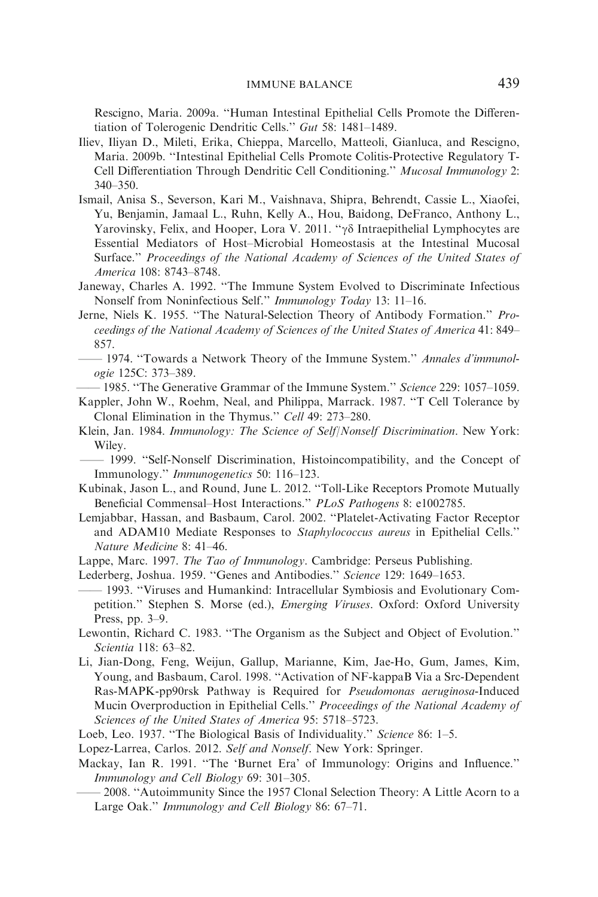#### IMMUNE BALANCE 439

<span id="page-28-0"></span>Rescigno, Maria. 2009a. ''Human Intestinal Epithelial Cells Promote the Differentiation of Tolerogenic Dendritic Cells.'' Gut 58: 1481–1489.

- Iliev, Iliyan D., Mileti, Erika, Chieppa, Marcello, Matteoli, Gianluca, and Rescigno, Maria. 2009b. ''Intestinal Epithelial Cells Promote Colitis-Protective Regulatory T-Cell Differentiation Through Dendritic Cell Conditioning.'' Mucosal Immunology 2: 340–350.
- Ismail, Anisa S., Severson, Kari M., Vaishnava, Shipra, Behrendt, Cassie L., Xiaofei, Yu, Benjamin, Jamaal L., Ruhn, Kelly A., Hou, Baidong, DeFranco, Anthony L., Yarovinsky, Felix, and Hooper, Lora V. 2011. " $\gamma\delta$  Intraepithelial Lymphocytes are Essential Mediators of Host–Microbial Homeostasis at the Intestinal Mucosal Surface.'' Proceedings of the National Academy of Sciences of the United States of America 108: 8743–8748.
- Janeway, Charles A. 1992. ''The Immune System Evolved to Discriminate Infectious Nonself from Noninfectious Self.'' Immunology Today 13: 11–16.
- Jerne, Niels K. 1955. ''The Natural-Selection Theory of Antibody Formation.'' Proceedings of the National Academy of Sciences of the United States of America 41: 849– 857.
- 1974. "Towards a Network Theory of the Immune System." Annales d'immunologie 125C: 373–389.

– 1985. "The Generative Grammar of the Immune System." Science 229: 1057–1059.

- Kappler, John W., Roehm, Neal, and Philippa, Marrack. 1987. ''T Cell Tolerance by Clonal Elimination in the Thymus.'' Cell 49: 273–280.
- Klein, Jan. 1984. Immunology: The Science of Self/Nonself Discrimination. New York: Wiley.
- 1999. "Self-Nonself Discrimination, Histoincompatibility, and the Concept of Immunology.'' Immunogenetics 50: 116–123.
- Kubinak, Jason L., and Round, June L. 2012. ''Toll-Like Receptors Promote Mutually Beneficial Commensal–Host Interactions.'' PLoS Pathogens 8: e1002785.
- Lemjabbar, Hassan, and Basbaum, Carol. 2002. ''Platelet-Activating Factor Receptor and ADAM10 Mediate Responses to Staphylococcus aureus in Epithelial Cells.'' Nature Medicine 8: 41–46.
- Lappe, Marc. 1997. The Tao of Immunology. Cambridge: Perseus Publishing.
- Lederberg, Joshua. 1959. "Genes and Antibodies." Science 129: 1649-1653.
- —— 1993. ''Viruses and Humankind: Intracellular Symbiosis and Evolutionary Competition." Stephen S. Morse (ed.), *Emerging Viruses*. Oxford: Oxford University Press, pp. 3–9.
- Lewontin, Richard C. 1983. ''The Organism as the Subject and Object of Evolution.'' Scientia 118: 63–82.
- Li, Jian-Dong, Feng, Weijun, Gallup, Marianne, Kim, Jae-Ho, Gum, James, Kim, Young, and Basbaum, Carol. 1998. ''Activation of NF-kappaB Via a Src-Dependent Ras-MAPK-pp90rsk Pathway is Required for Pseudomonas aeruginosa-Induced Mucin Overproduction in Epithelial Cells.'' Proceedings of the National Academy of Sciences of the United States of America 95: 5718–5723.
- Loeb, Leo. 1937. "The Biological Basis of Individuality." Science 86: 1-5.
- Lopez-Larrea, Carlos. 2012. Self and Nonself. New York: Springer.
- Mackay, Ian R. 1991. ''The 'Burnet Era' of Immunology: Origins and Influence.'' Immunology and Cell Biology 69: 301–305.
	- —— 2008. ''Autoimmunity Since the 1957 Clonal Selection Theory: A Little Acorn to a Large Oak." Immunology and Cell Biology 86: 67-71.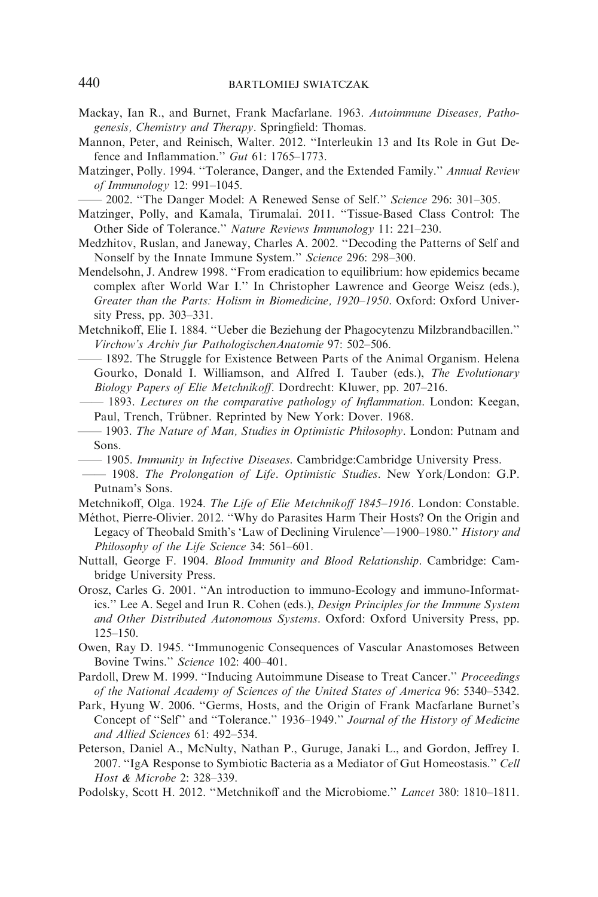- <span id="page-29-0"></span>Mackay, Ian R., and Burnet, Frank Macfarlane. 1963. Autoimmune Diseases, Pathogenesis, Chemistry and Therapy. Springfield: Thomas.
- Mannon, Peter, and Reinisch, Walter. 2012. ''Interleukin 13 and Its Role in Gut Defence and Inflammation." Gut 61: 1765–1773.
- Matzinger, Polly. 1994. ''Tolerance, Danger, and the Extended Family.'' Annual Review of Immunology 12: 991–1045.
- —— 2002. ''The Danger Model: A Renewed Sense of Self.'' Science 296: 301–305.
- Matzinger, Polly, and Kamala, Tirumalai. 2011. ''Tissue-Based Class Control: The Other Side of Tolerance.'' Nature Reviews Immunology 11: 221–230.
- Medzhitov, Ruslan, and Janeway, Charles A. 2002. ''Decoding the Patterns of Self and Nonself by the Innate Immune System.'' Science 296: 298–300.
- Mendelsohn, J. Andrew 1998. ''From eradication to equilibrium: how epidemics became complex after World War I.'' In Christopher Lawrence and George Weisz (eds.), Greater than the Parts: Holism in Biomedicine, 1920–1950. Oxford: Oxford University Press, pp. 303–331.
- Metchnikoff, Elie I. 1884. ''Ueber die Beziehung der Phagocytenzu Milzbrandbacillen.'' Virchow's Archiv fur PathologischenAnatomie 97: 502–506.
- 1892. The Struggle for Existence Between Parts of the Animal Organism. Helena Gourko, Donald I. Williamson, and AIfred I. Tauber (eds.), The Evolutionary Biology Papers of Elie Metchnikoff. Dordrecht: Kluwer, pp. 207–216.
- —— 1893. Lectures on the comparative pathology of Inflammation. London: Keegan, Paul, Trench, Trübner. Reprinted by New York: Dover. 1968.
- —— 1903. The Nature of Man, Studies in Optimistic Philosophy. London: Putnam and Sons.
- 1905. Immunity in Infective Diseases. Cambridge:Cambridge University Press.
- 1908. The Prolongation of Life. Optimistic Studies. New York/London: G.P. Putnam's Sons.
- Metchnikoff, Olga. 1924. The Life of Elie Metchnikoff 1845–1916. London: Constable.
- Méthot, Pierre-Olivier. 2012. "Why do Parasites Harm Their Hosts? On the Origin and Legacy of Theobald Smith's 'Law of Declining Virulence'—1900–1980.'' History and Philosophy of the Life Science 34: 561–601.
- Nuttall, George F. 1904. Blood Immunity and Blood Relationship. Cambridge: Cambridge University Press.
- Orosz, Carles G. 2001. ''An introduction to immuno-Ecology and immuno-Informatics.'' Lee A. Segel and Irun R. Cohen (eds.), Design Principles for the Immune System and Other Distributed Autonomous Systems. Oxford: Oxford University Press, pp. 125–150.
- Owen, Ray D. 1945. ''Immunogenic Consequences of Vascular Anastomoses Between Bovine Twins.'' Science 102: 400–401.
- Pardoll, Drew M. 1999. "Inducing Autoimmune Disease to Treat Cancer." *Proceedings* of the National Academy of Sciences of the United States of America 96: 5340–5342.
- Park, Hyung W. 2006. ''Germs, Hosts, and the Origin of Frank Macfarlane Burnet's Concept of ''Self'' and ''Tolerance.'' 1936–1949.'' Journal of the History of Medicine and Allied Sciences 61: 492–534.
- Peterson, Daniel A., McNulty, Nathan P., Guruge, Janaki L., and Gordon, Jeffrey I. 2007. ''IgA Response to Symbiotic Bacteria as a Mediator of Gut Homeostasis.'' Cell Host & Microbe 2: 328–339.
- Podolsky, Scott H. 2012. ''Metchnikoff and the Microbiome.'' Lancet 380: 1810–1811.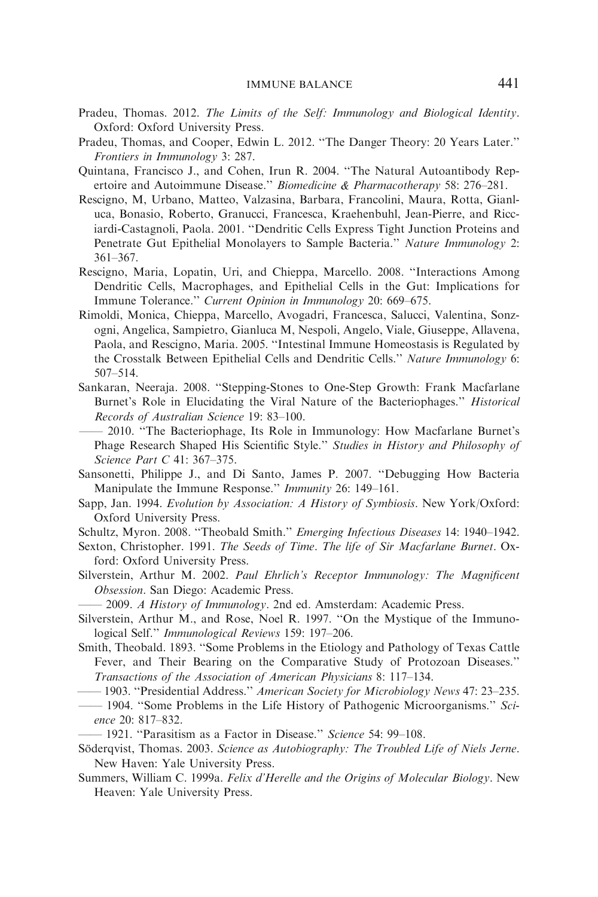- <span id="page-30-0"></span>Pradeu, Thomas. 2012. The Limits of the Self: Immunology and Biological Identity. Oxford: Oxford University Press.
- Pradeu, Thomas, and Cooper, Edwin L. 2012. ''The Danger Theory: 20 Years Later.'' Frontiers in Immunology 3: 287.
- Quintana, Francisco J., and Cohen, Irun R. 2004. ''The Natural Autoantibody Repertoire and Autoimmune Disease." Biomedicine & Pharmacotherapy 58: 276-281.
- Rescigno, M, Urbano, Matteo, Valzasina, Barbara, Francolini, Maura, Rotta, Gianluca, Bonasio, Roberto, Granucci, Francesca, Kraehenbuhl, Jean-Pierre, and Ricciardi-Castagnoli, Paola. 2001. ''Dendritic Cells Express Tight Junction Proteins and Penetrate Gut Epithelial Monolayers to Sample Bacteria." Nature Immunology 2: 361–367.
- Rescigno, Maria, Lopatin, Uri, and Chieppa, Marcello. 2008. ''Interactions Among Dendritic Cells, Macrophages, and Epithelial Cells in the Gut: Implications for Immune Tolerance.'' Current Opinion in Immunology 20: 669–675.
- Rimoldi, Monica, Chieppa, Marcello, Avogadri, Francesca, Salucci, Valentina, Sonzogni, Angelica, Sampietro, Gianluca M, Nespoli, Angelo, Viale, Giuseppe, Allavena, Paola, and Rescigno, Maria. 2005. ''Intestinal Immune Homeostasis is Regulated by the Crosstalk Between Epithelial Cells and Dendritic Cells.'' Nature Immunology 6: 507–514.
- Sankaran, Neeraja. 2008. ''Stepping-Stones to One-Step Growth: Frank Macfarlane Burnet's Role in Elucidating the Viral Nature of the Bacteriophages.'' Historical Records of Australian Science 19: 83–100.
- 2010. "The Bacteriophage, Its Role in Immunology: How Macfarlane Burnet's Phage Research Shaped His Scientific Style." Studies in History and Philosophy of Science Part C 41: 367–375.
- Sansonetti, Philippe J., and Di Santo, James P. 2007. ''Debugging How Bacteria Manipulate the Immune Response.'' Immunity 26: 149–161.
- Sapp, Jan. 1994. Evolution by Association: A History of Symbiosis. New York/Oxford: Oxford University Press.
- Schultz, Myron. 2008. ''Theobald Smith.'' Emerging Infectious Diseases 14: 1940–1942.
- Sexton, Christopher. 1991. The Seeds of Time. The life of Sir Macfarlane Burnet. Oxford: Oxford University Press.
- Silverstein, Arthur M. 2002. Paul Ehrlich's Receptor Immunology: The Magnificent Obsession. San Diego: Academic Press.

2009. A History of Immunology. 2nd ed. Amsterdam: Academic Press.

- Silverstein, Arthur M., and Rose, Noel R. 1997. ''On the Mystique of the Immunological Self.'' Immunological Reviews 159: 197–206.
- Smith, Theobald. 1893. ''Some Problems in the Etiology and Pathology of Texas Cattle Fever, and Their Bearing on the Comparative Study of Protozoan Diseases.'' Transactions of the Association of American Physicians 8: 117–134.
	- 1903. "Presidential Address." American Society for Microbiology News 47: 23–235.
- 1904. "Some Problems in the Life History of Pathogenic Microorganisms." Science 20: 817–832.
- —— 1921. ''Parasitism as a Factor in Disease.'' Science 54: 99–108.
- Söderqvist, Thomas. 2003. Science as Autobiography: The Troubled Life of Niels Jerne. New Haven: Yale University Press.
- Summers, William C. 1999a. Felix d'Herelle and the Origins of Molecular Biology. New Heaven: Yale University Press.